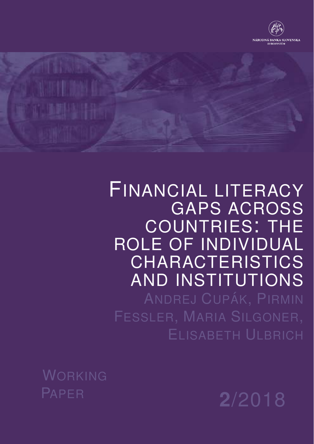



# FINANCIAL LITERACY GAPS ACROSS COUNTRIES: THE ROLE OF INDIVIDUAL CHARACTERISTICS AND INSTITUTIONS

ANDREJ CUPÁK, PIRMIN ELISABETH ULBRICH

WORKING

<sup>P</sup>APER **2**/2018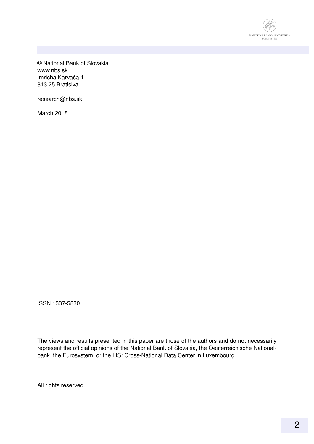

© National Bank of Slovakia www.nbs.sk Imricha Karvaša 1 813 25 Bratislva

research@nbs.sk

March 2018

ISSN 1337-5830

The views and results presented in this paper are those of the authors and do not necessarily represent the official opinions of the National Bank of Slovakia, the Oesterreichische Nationalbank, the Eurosystem, or the LIS: Cross-National Data Center in Luxembourg.

All rights reserved.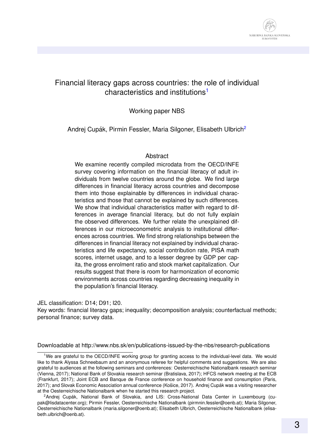

## Financial literacy gaps across countries: the role of individual characteristics and institutions<sup>[1](#page-2-0)</sup>

#### Working paper NBS

Andrej Cupák, Pirmin Fessler, Maria Silgoner, Elisabeth Ulbrich<sup>[2](#page-2-1)</sup>

#### **Abstract**

We examine recently compiled microdata from the OECD/INFE survey covering information on the financial literacy of adult individuals from twelve countries around the globe. We find large differences in financial literacy across countries and decompose them into those explainable by differences in individual characteristics and those that cannot be explained by such differences. We show that individual characteristics matter with regard to differences in average financial literacy, but do not fully explain the observed differences. We further relate the unexplained differences in our microeconometric analysis to institutional differences across countries. We find strong relationships between the differences in financial literacy not explained by individual characteristics and life expectancy, social contribution rate, PISA math scores, internet usage, and to a lesser degree by GDP per capita, the gross enrolment ratio and stock market capitalization. Our results suggest that there is room for harmonization of economic environments across countries regarding decreasing inequality in the population's financial literacy.

JEL classification: D14; D91; I20.

Key words: financial literacy gaps; inequality; decomposition analysis; counterfactual methods; personal finance; survey data.

Downloadable at http://www.nbs.sk/en/publications-issued-by-the-nbs/research-publications

<span id="page-2-0"></span><sup>1</sup>We are grateful to the OECD/INFE working group for granting access to the individual-level data. We would like to thank Alyssa Schneebaum and an anonymous referee for helpful comments and suggestions. We are also grateful to audiences at the following seminars and conferences: Oesterreichische Nationalbank research seminar (Vienna, 2017); National Bank of Slovakia research seminar (Bratislava, 2017); HFCS network meeting at the ECB (Frankfurt, 2017); Joint ECB and Banque de France conference on household finance and consumption (Paris, 2017); and Slovak Economic Association annual conference (Košice, 2017). Andrej Cupák was a visiting researcher at the Oesterreichische Nationalbank when he started this research project.

<span id="page-2-1"></span> $2$ Andrei Cupák, National Bank of Slovakia, and LIS: Cross-National Data Center in Luxembourg (cupak@lisdatacenter.org); Pirmin Fessler, Oesterreichische Nationalbank (pirmnin.fessler@oenb.at); Maria Silgoner, Oesterreichische Nationalbank (maria.silgoner@oenb.at); Elisabeth Ulbrich, Oesterreichische Nationalbank (elisabeth.ulbrich@oenb.at).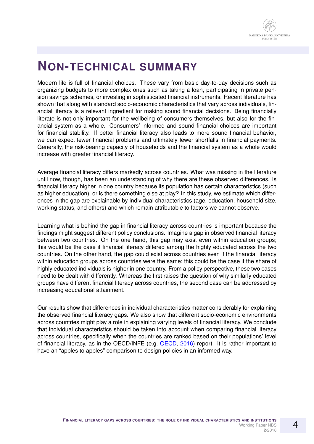## **NON-TECHNICAL SUMMARY**

Modern life is full of financial choices. These vary from basic day-to-day decisions such as organizing budgets to more complex ones such as taking a loan, participating in private pension savings schemes, or investing in sophisticated financial instruments. Recent literature has shown that along with standard socio-economic characteristics that vary across individuals, financial literacy is a relevant ingredient for making sound financial decisions. Being financially literate is not only important for the wellbeing of consumers themselves, but also for the financial system as a whole. Consumers' informed and sound financial choices are important for financial stability. If better financial literacy also leads to more sound financial behavior, we can expect fewer financial problems and ultimately fewer shortfalls in financial payments. Generally, the risk-bearing capacity of households and the financial system as a whole would increase with greater financial literacy.

Average financial literacy differs markedly across countries. What was missing in the literature until now, though, has been an understanding of why there are these observed differences. Is financial literacy higher in one country because its population has certain characteristics (such as higher education), or is there something else at play? In this study, we estimate which differences in the gap are explainable by individual characteristics (age, education, household size, working status, and others) and which remain attributable to factors we cannot observe.

Learning what is behind the gap in financial literacy across countries is important because the findings might suggest different policy conclusions. Imagine a gap in observed financial literacy between two countries. On the one hand, this gap may exist even within education groups; this would be the case if financial literacy differed among the highly educated across the two countries. On the other hand, the gap could exist across countries even if the financial literacy within education groups across countries were the same; this could be the case if the share of highly educated individuals is higher in one country. From a policy perspective, these two cases need to be dealt with differently. Whereas the first raises the question of why similarly educated groups have different financial literacy across countries, the second case can be addressed by increasing educational attainment.

Our results show that differences in individual characteristics matter considerably for explaining the observed financial literacy gaps. We also show that different socio-economic environments across countries might play a role in explaining varying levels of financial literacy. We conclude that individual characteristics should be taken into account when comparing financial literacy across countries, specifically when the countries are ranked based on their populations' level of financial literacy, as in the OECD/INFE (e.g. [OECD,](#page-18-0) [2016\)](#page-18-0) report. It is rather important to have an "apples to apples" comparison to design policies in an informed way.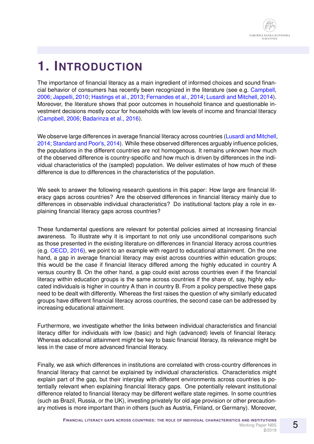# **1. INTRODUCTION**

The importance of financial literacy as a main ingredient of informed choices and sound financial behavior of consumers has recently been recognized in the literature (see e.g. [Campbell,](#page-17-0) [2006;](#page-17-0) [Jappelli,](#page-17-1) [2010;](#page-17-1) [Hastings et al.,](#page-17-2) [2013;](#page-17-2) [Fernandes et al.,](#page-17-3) [2014;](#page-17-3) [Lusardi and Mitchell,](#page-17-4) [2014\)](#page-17-4). Moreover, the literature shows that poor outcomes in household finance and questionable investment decisions mostly occur for households with low levels of income and financial literacy [\(Campbell,](#page-17-0) [2006;](#page-17-0) [Badarinza et al.,](#page-17-5) [2016\)](#page-17-5).

We observe large differences in average financial literacy across countries [\(Lusardi and Mitchell,](#page-17-4) [2014;](#page-17-4) [Standard and Poor's,](#page-18-1) [2014\)](#page-18-1). While these observed differences arguably influence policies, the populations in the different countries are not homogenous. It remains unknown how much of the observed difference is country-specific and how much is driven by differences in the individual characteristics of the (sampled) population. We deliver estimates of how much of these difference is due to differences in the characteristics of the population.

We seek to answer the following research questions in this paper: How large are financial literacy gaps across countries? Are the observed differences in financial literacy mainly due to differences in observable individual characteristics? Do institutional factors play a role in explaining financial literacy gaps across countries?

These fundamental questions are relevant for potential policies aimed at increasing financial awareness. To illustrate why it is important to not only use unconditional comparisons such as those presented in the existing literature on differences in financial literacy across countries (e.g. [OECD,](#page-18-0) [2016\)](#page-18-0), we point to an example with regard to educational attainment. On the one hand, a gap in average financial literacy may exist across countries within education groups; this would be the case if financial literacy differed among the highly educated in country A versus country B. On the other hand, a gap could exist across countries even if the financial literacy within education groups is the same across countries if the share of, say, highly educated individuals is higher in country A than in country B. From a policy perspective these gaps need to be dealt with differently. Whereas the first raises the question of why similarly educated groups have different financial literacy across countries, the second case can be addressed by increasing educational attainment.

Furthermore, we investigate whether the links between individual characteristics and financial literacy differ for individuals with low (basic) and high (advanced) levels of financial literacy. Whereas educational attainment might be key to basic financial literacy, its relevance might be less in the case of more advanced financial literacy.

Finally, we ask which differences in institutions are correlated with cross-country differences in financial literacy that cannot be explained by individual characteristics. Characteristics might explain part of the gap, but their interplay with different environments across countries is potentially relevant when explaining financial literacy gaps. One potentially relevant institutional difference related to financial literacy may be different welfare state regimes. In some countries (such as Brazil, Russia, or the UK), investing privately for old age provision or other precautionary motives is more important than in others (such as Austria, Finland, or Germany). Moreover,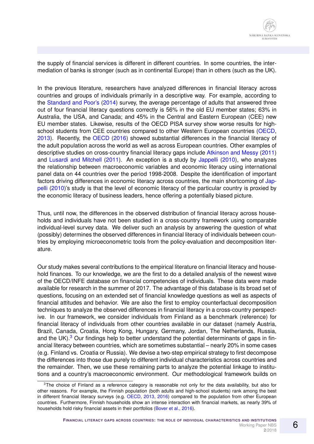the supply of financial services is different in different countries. In some countries, the intermediation of banks is stronger (such as in continental Europe) than in others (such as the UK).

In the previous literature, researchers have analyzed differences in financial literacy across countries and groups of individuals primarily in a descriptive way. For example, according to the [Standard and Poor's](#page-18-1) [\(2014\)](#page-18-1) survey, the average percentage of adults that answered three out of four financial literacy questions correctly is 56% in the old EU member states; 63% in Australia, the USA, and Canada; and 45% in the Central and Eastern European (CEE) new EU member states. Likewise, results of the OECD PISA survey show worse results for highschool students from CEE countries compared to other Western European countries [\(OECD,](#page-18-2) [2013\)](#page-18-2). Recently, the [OECD](#page-18-0) [\(2016\)](#page-18-0) showed substantial differences in the financial literacy of the adult population across the world as well as across European countries. Other examples of descriptive studies on cross-country financial literacy gaps include [Atkinson and Messy](#page-17-6) [\(2011\)](#page-17-6) and [Lusardi and Mitchell](#page-17-7) [\(2011\)](#page-17-7). An exception is a study by [Jappelli](#page-17-1) [\(2010\)](#page-17-1), who analyzes the relationship between macroeconomic variables and economic literacy using international panel data on 44 countries over the period 1998-2008. Despite the identification of important factors driving differences in economic literacy across countries, the main shortcoming of [Jap](#page-17-1)[pelli](#page-17-1) [\(2010\)](#page-17-1)'s study is that the level of economic literacy of the particular country is proxied by the economic literacy of business leaders, hence offering a potentially biased picture.

Thus, until now, the differences in the observed distribution of financial literacy across households and individuals have not been studied in a cross-country framework using comparable individual-level survey data. We deliver such an analysis by answering the question of what (possibly) determines the observed differences in financial literacy of individuals between countries by employing microeconometric tools from the policy-evaluation and decomposition literature.

Our study makes several contributions to the empirical literature on financial literacy and household finances. To our knowledge, we are the first to do a detailed analysis of the newest wave of the OECD/INFE database on financial competencies of individuals. These data were made available for research in the summer of 2017. The advantage of this database is its broad set of questions, focusing on an extended set of financial knowledge questions as well as aspects of financial attitudes and behavior. We are also the first to employ counterfactual decomposition techniques to analyze the observed differences in financial literacy in a cross-country perspective. In our framework, we consider individuals from Finland as a benchmark (reference) for financial literacy of individuals from other countries available in our dataset (namely Austria, Brazil, Canada, Croatia, Hong Kong, Hungary, Germany, Jordan, The Netherlands, Russia, and the UK). $3$  Our findings help to better understand the potential determinants of gaps in financial literacy between countries, which are sometimes substantial – nearly 20% in some cases (e.g. Finland vs. Croatia or Russia). We devise a two-step empirical strategy to first decompose the differences into those due purely to different individual characteristics across countries and the remainder. Then, we use these remaining parts to analyze the potential linkage to institutions and a country's macroeconomic environment. Our methodological framework builds on

<span id="page-5-0"></span><sup>&</sup>lt;sup>3</sup>The choice of Finland as a reference category is reasonable not only for the data availability, but also for other reasons. For example, the Finnish population (both adults and high-school students) rank among the best in different financial literacy surveys (e.g. [OECD,](#page-18-2) [2013,](#page-18-2) [2016\)](#page-18-0) compared to the population from other European countries. Furthermore, Finnish households show an intense interaction with financial markets, as nearly 39% of households hold risky financial assets in their portfolios [\(Bover et al.,](#page-17-8) [2016\)](#page-17-8).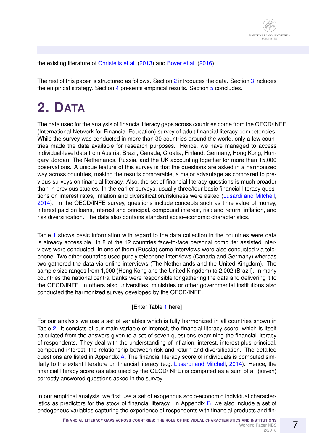the existing literature of [Christelis et al.](#page-17-9) [\(2013\)](#page-17-9) and [Bover et al.](#page-17-8) [\(2016\)](#page-17-8).

The rest of this paper is structured as follows. Section [2](#page-6-0) introduces the data. Section [3](#page-7-0) includes the empirical strategy. Section [4](#page-10-0) presents empirical results. Section [5](#page-15-0) concludes.

# <span id="page-6-0"></span>**2. DATA**

The data used for the analysis of financial literacy gaps across countries come from the OECD/INFE (International Network for Financial Education) survey of adult financial literacy competencies. While the survey was conducted in more than 30 countries around the world, only a few countries made the data available for research purposes. Hence, we have managed to access individual-level data from Austria, Brazil, Canada, Croatia, Finland, Germany, Hong Kong, Hungary, Jordan, The Netherlands, Russia, and the UK accounting together for more than 15,000 observations. A unique feature of this survey is that the questions are asked in a harmonized way across countries, making the results comparable, a major advantage as compared to previous surveys on financial literacy. Also, the set of financial literacy questions is much broader than in previous studies. In the earlier surveys, usually three/four basic financial literacy questions on interest rates, inflation and diversification/riskiness were asked [\(Lusardi and Mitchell,](#page-17-4) [2014\)](#page-17-4). In the OECD/INFE survey, questions include concepts such as time value of money, interest paid on loans, interest and principal, compound interest, risk and return, inflation, and risk diversification. The data also contains standard socio-economic characteristics.

Table [1](#page-21-0) shows basic information with regard to the data collection in the countries were data is already accessible. In 8 of the 12 countries face-to-face personal computer assisted interviews were conducted. In one of them (Russia) some interviews were also conducted via telephone. Two other countries used purely telephone interviews (Canada and Germany) whereas two gathered the data via online interviews (The Netherlands and the United Kingdom). The sample size ranges from 1,000 (Hong Kong and the United Kingdom) to 2,002 (Brazil). In many countries the national central banks were responsible for gathering the data and delivering it to the OECD/INFE. In others also universities, ministries or other governmental institutions also conducted the harmonized survey developed by the OECD/INFE.

#### [Enter Table [1](#page-21-0) here]

For our analysis we use a set of variables which is fully harmonized in all countries shown in Table [2.](#page-22-0) It consists of our main variable of interest, the financial literacy score, which is itself calculated from the answers given to a set of seven questions examining the financial literacy of respondents. They deal with the understanding of inflation, interest, interest plus principal, compound interest, the relationship between risk and return and diversification. The detailed questions are listed in Appendix [A.](#page-30-0) The financial literacy score of individuals is computed similarly to the extant literature on financial literacy (e.g. [Lusardi and Mitchell,](#page-17-4) [2014\)](#page-17-4). Hence, the financial literacy score (as also used by the OECD/INFE) is computed as a sum of all (seven) correctly answered questions asked in the survey.

In our empirical analysis, we first use a set of exogenous socio-economic individual character-istics as predictors for the stock of financial literacy. In Appendix [B,](#page-31-0) we also include a set of endogenous variables capturing the experience of respondents with financial products and fin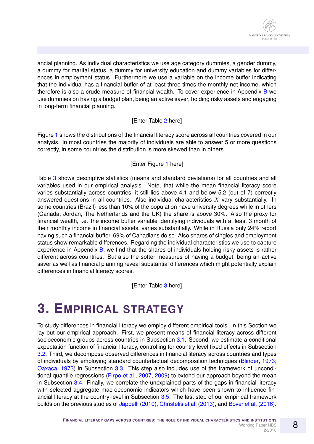ancial planning. As individual characteristics we use age category dummies, a gender dummy, a dummy for marital status, a dummy for university education and dummy variables for differences in employment status. Furthermore we use a variable on the income buffer indicating that the individual has a financial buffer of at least three times the monthly net income, which therefore is also a crude measure of financial wealth. To cover experience in Appendix [B](#page-31-0) we use dummies on having a budget plan, being an active saver, holding risky assets and engaging in long-term financial planning.

#### [Enter Table [2](#page-22-0) here]

Figure [1](#page-19-0) shows the distributions of the financial literacy score across all countries covered in our analysis. In most countries the majority of individuals are able to answer 5 or more questions correctly, in some countries the distribution is more skewed than in others.

#### [Enter Figure [1](#page-19-0) here]

Table [3](#page-23-0) shows descriptive statistics (means and standard deviations) for all countries and all variables used in our empirical analysis. Note, that while the mean financial literacy score varies substantially across countries, it still lies above 4.1 and below 5.2 (out of 7) correctly answered questions in all countries. Also individual characteristics  $X$  vary substantially. In some countries (Brazil) less than 10% of the population have university degrees while in others (Canada, Jordan, The Netherlands and the UK) the share is above 30%. Also the proxy for financial wealth, i.e. the income buffer variable identifying individuals with at least 3 month of their monthly income in financial assets, varies substantially. While in Russia only 24% report having such a financial buffer, 69% of Canadians do so. Also shares of singles and employment status show remarkable differences. Regarding the individual characteristics we use to capture experience in Appendix [B,](#page-31-0) we find that the shares of individuals holding risky assets is rather different across countries. But also the softer measures of having a budget, being an active saver as well as financial planning reveal substantial differences which might potentially explain differences in financial literacy scores.

[Enter Table [3](#page-23-0) here]

# <span id="page-7-0"></span>**3. EMPIRICAL STRATEGY**

To study differences in financial literacy we employ different empirical tools. In this Section we lay out our empirical approach. First, we present means of financial literacy across different socioeconomic groups across countries in Subsection [3.1.](#page-8-0) Second, we estimate a conditional expectation function of financial literacy, controlling for country level fixed effects in Subsection [3.2.](#page-8-1) Third, we decompose observed differences in financial literacy across countries and types of individuals by employing standard counterfactual decomposition techniques [\(Blinder,](#page-17-10) [1973;](#page-17-10) [Oaxaca,](#page-18-3) [1973\)](#page-18-3) in Subsection [3.3.](#page-8-2) This step also includes use of the framework of unconditional quantile regressions [\(Firpo et al.,](#page-17-11) [2007,](#page-17-11) [2009\)](#page-17-12) to extend our approach beyond the mean in Subsection [3.4.](#page-9-0) Finally, we correlate the unexplained parts of the gaps in financial literacy with selected aggregate macroeconomic indicators which have been shown to influence financial literacy at the country-level in Subsection [3.5.](#page-10-1) The last step of our empirical framework builds on the previous studies of [Jappelli](#page-17-1) [\(2010\)](#page-17-1), [Christelis et al.](#page-17-9) [\(2013\)](#page-17-9), and [Bover et al.](#page-17-8) [\(2016\)](#page-17-8).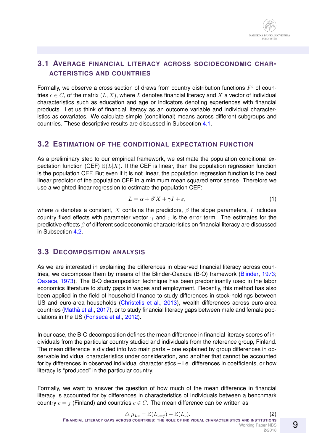## <span id="page-8-0"></span>**3.1 AVERAGE FINANCIAL LITERACY ACROSS SOCIOECONOMIC CHAR-ACTERISTICS AND COUNTRIES**

Formally, we observe a cross section of draws from country distribution functions  $F<sup>c</sup>$  of countries  $c \in C$ , of the matrix  $(L, X)$ , where L denotes financial literacy and X a vector of individual characteristics such as education and age or indicators denoting experiences with financial products. Let us think of financial literacy as an outcome variable and individual characteristics as covariates. We calculate simple (conditional) means across different subgroups and countries. These descriptive results are discussed in Subsection [4.1.](#page-11-0)

### <span id="page-8-1"></span>**3.2 ESTIMATION OF THE CONDITIONAL EXPECTATION FUNCTION**

As a preliminary step to our empirical framework, we estimate the population conditional expectation function (CEF)  $\mathbb{E}(L|X)$ . If the CEF is linear, than the population regression function is the population CEF. But even if it is not linear, the population regression function is the best linear predictor of the population CEF in a minimum mean squared error sense. Therefore we use a weighted linear regression to estimate the population CEF:

$$
L = \alpha + \beta' X + \gamma I + \varepsilon,\tag{1}
$$

where  $\alpha$  denotes a constant, X contains the predictors,  $\beta$  the slope parameters, I includes country fixed effects with parameter vector  $\gamma$  and  $\varepsilon$  is the error term. The estimates for the predictive effects β of different socioeconomic characteristics on financial literacy are discussed in Subsection [4.2.](#page-11-1)

## <span id="page-8-2"></span>**3.3 DECOMPOSITION ANALYSIS**

As we are interested in explaining the differences in observed financial literacy across countries, we decompose them by means of the Blinder-Oaxaca (B-O) framework [\(Blinder,](#page-17-10) [1973;](#page-17-10) [Oaxaca,](#page-18-3) [1973\)](#page-18-3). The B-O decomposition technique has been predominantly used in the labor economics literature to study gaps in wages and employment. Recently, this method has also been applied in the field of household finance to study differences in stock-holdings between US and euro-area households [\(Christelis et al.,](#page-17-9) [2013\)](#page-17-9), wealth differences across euro-area countries (Mathä et al., [2017\)](#page-18-4), or to study financial literacy gaps between male and female populations in the US [\(Fonseca et al.,](#page-17-13) [2012\)](#page-17-13).

In our case, the B-O decomposition defines the mean difference in financial literacy scores of individuals from the particular country studied and individuals from the reference group, Finland. The mean difference is divided into two main parts – one explained by group differences in observable individual characteristics under consideration, and another that cannot be accounted for by differences in observed individual characteristics – i.e. differences in coefficients, or how literacy is "produced" in the particular country.

Formally, we want to answer the question of how much of the mean difference in financial literacy is accounted for by differences in characteristics of individuals between a benchmark country  $c = j$  (Finland) and countries  $c \in C$ . The mean difference can be written as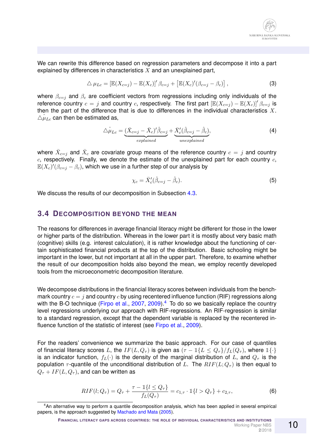We can rewrite this difference based on regression parameters and decompose it into a part explained by differences in characteristics  $X$  and an unexplained part,

$$
\triangle \mu_{Lc} = \left[ \mathbb{E}(X_{c=j}) - \mathbb{E}(X_c) \right]' \beta_{c=j} + \left[ \mathbb{E}(X_c)'(\beta_{c=j} - \beta_c) \right],\tag{3}
$$

where  $\beta_{c=j}$  and  $\beta_c$  are coefficient vectors from regressions including only individuals of the reference country  $c = j$  and country c, respectively. The first part  $\left[\mathbb{E}(X_{c=j}) - \mathbb{E}(X_c)\right]'\beta_{c=j}$  is then the part of the difference that is due to differences in the individual characteristics  $X$ .  $\triangle \hat{\mu}_{Lc}$  can then be estimated as,

$$
\triangle \hat{\mu}_{Lc} = \underbrace{(\bar{X}_{c=j} - \bar{X}_c)' \hat{\beta}_{c=j}}_{explained} + \underbrace{\bar{X}'_c (\hat{\beta}_{c=j} - \hat{\beta}_c)}_{unexplained},
$$
\n(4)

where  $\bar{X}_{c=j}$  and  $\bar{X}_c$  are covariate group means of the reference country  $c=j$  and country  $c$ , respectively. Finally, we denote the estimate of the unexplained part for each country  $c$ ,  $\mathbb{E}(X_c)'(\beta_{c=j}-\beta_c)$ , which we use in a further step of our analysis by

$$
\chi_c = \bar{X}'_c(\hat{\beta}_{c=j} - \hat{\beta}_c). \tag{5}
$$

We discuss the results of our decomposition in Subsection [4.3.](#page-11-2)

#### <span id="page-9-0"></span>**3.4 DECOMPOSITION BEYOND THE MEAN**

The reasons for differences in average financial literacy might be different for those in the lower or higher parts of the distribution. Whereas in the lower part it is mostly about very basic math (cognitive) skills (e.g. interest calculation), it is rather knowledge about the functioning of certain sophisticated financial products at the top of the distribution. Basic schooling might be important in the lower, but not important at all in the upper part. Therefore, to examine whether the result of our decomposition holds also beyond the mean, we employ recently developed tools from the microeconometric decomposition literature.

We decompose distributions in the financial literacy scores between individuals from the benchmark country  $c = j$  and country c by using recentered influence function (RIF) regressions along with the B-O technique [\(Firpo et al.,](#page-17-11) [2007,](#page-17-11) [2009\)](#page-17-12).<sup>[4](#page-9-1)</sup> To do so we basically replace the country level regressions underlying our approach with RIF-regressions. An RIF-regression is similar to a standard regression, except that the dependent variable is replaced by the recentered in-fluence function of the statistic of interest (see [Firpo et al.,](#page-17-12) [2009\)](#page-17-12).

For the readers' convenience we summarize the basic approach. For our case of quantiles of financial literacy scores L, the  $IF(L, Q_{\tau})$  is given as  $(\tau - \mathbb{1}{L \leq Q_{\tau}})/f_L(Q_{\tau})$ , where  $\mathbb{1}{\{\cdot\}}$ is an indicator function,  $f_L(\cdot)$  is the density of the marginal distribution of L, and  $Q_{\tau}$  is the population  $\tau$ -quantile of the unconditional distribution of L. The  $RIF(L; Q<sub>\tau</sub>)$  is then equal to  $Q_{\tau} + IF(L, Q_{\tau})$ , and can be written as

$$
RIF(l; Q_{\tau}) = Q_{\tau} + \frac{\tau - \mathbb{1}\{l \leq Q_{\tau}\}}{f_L(Q_{\tau})} = c_{1,\tau} \cdot \mathbb{1}\{l > Q_{\tau}\} + c_{2,\tau},
$$
\n(6)

<span id="page-9-1"></span><sup>4</sup>An alternative way to perform a quantile decomposition analysis, which has been applied in several empirical papers, is the approach suggested by [Machado and Mata](#page-17-14) [\(2005\)](#page-17-14).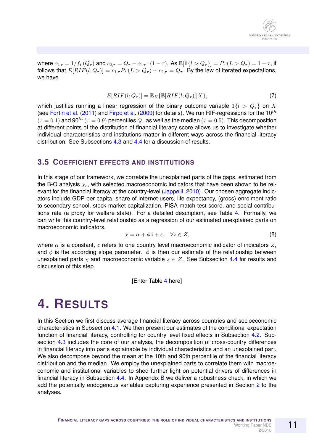where  $c_{1,\tau} = 1/f_L(Q_{\tau})$  and  $c_{2,\tau} = Q_{\tau} - c_{1,\tau} \cdot (1 - \tau)$ . As  $\mathbb{E}[1\{l > Q_{\tau}\}] = Pr(L > Q_{\tau}) = 1 - \tau$ , it follows that  $E[RIF(l; Q<sub>\tau</sub>)] = c_{1,\tau} Pr(L > Q_{\tau}) + c_{2,\tau} = Q_{\tau}$ . By the law of iterated expectations, we have

$$
E[RIF(l;Q\tau)] = \mathbb{E}_X \{ \mathbb{E}[RIF(l;Q\tau)]|X \},
$$
\n(7)

which justifies running a linear regression of the binary outcome variable  $\mathbb{1}{l > Q_{\tau}}$  on X (see [Fortin et al.](#page-17-15) [\(2011\)](#page-17-15) and [Firpo et al.](#page-17-12) [\(2009\)](#page-17-12) for details). We run RIF-regressions for the 10<sup>th</sup>  $(\tau = 0.1)$  and 90<sup>th</sup> ( $\tau = 0.9$ ) percentiles  $Q_{\tau}$  as well as the median ( $\tau = 0.5$ ). This decomposition at different points of the distribution of financial literacy score allows us to investigate whether individual characteristics and institutions matter in different ways across the financial literacy distribution. See Subsections [4.3](#page-11-2) and [4.4](#page-13-0) for a discussion of results.

#### <span id="page-10-1"></span>**3.5 COEFFICIENT EFFECTS AND INSTITUTIONS**

In this stage of our framework, we correlate the unexplained parts of the gaps, estimated from the B-O analysis  $\chi_c$ , with selected macroeconomic indicators that have been shown to be rel-evant for the financial literacy at the country-level [\(Jappelli,](#page-17-1) [2010\)](#page-17-1). Our chosen aggregate indicators include GDP per capita, share of internet users, life expectancy, (gross) enrolment ratio to secondary school, stock market capitalization, PISA match test score, and social contributions rate (a proxy for welfare state). For a detailed description, see Table [4.](#page-24-0) Formally, we can write this country-level relationship as a regression of our estimated unexplained parts on macroeconomic indicators,

$$
\chi = \alpha + \phi z + \varepsilon, \quad \forall z \in Z,
$$
\n(8)

where  $\alpha$  is a constant, z refers to one country level macroeconomic indicator of indicators Z, and  $\phi$  is the according slope parameter.  $\hat{\phi}$  is then our estimate of the relationship between unexplained parts  $\chi$  and macroeconomic variable  $z \in Z$ . See Subsection [4.4](#page-13-0) for results and discussion of this step.

[Enter Table [4](#page-24-0) here]

# <span id="page-10-0"></span>**4. RESULTS**

In this Section we first discuss average financial literacy across countries and socioeconomic characteristics in Subsection [4.1.](#page-11-0) We then present our estimates of the conditional expectation function of financial literacy, controlling for country level fixed effects in Subsection [4.2.](#page-11-1) Sub-section [4.3](#page-11-2) includes the core of our analysis, the decomposition of cross-country differences in financial literacy into parts explainable by individual characteristics and an unexplained part. We also decompose beyond the mean at the 10th and 90th percentile of the financial literacy distribution and the median. We employ the unexplained parts to correlate them with macroeconomic and institutional variables to shed further light on potential drivers of differences in financial literacy in Subsection [4.4.](#page-13-0) In Appendix [B](#page-31-0) we deliver a robustness check, in which we add the potentially endogenous variables capturing experience presented in Section [2](#page-6-0) to the analyses.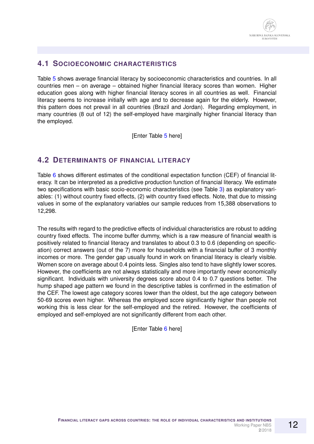## <span id="page-11-0"></span>**4.1 SOCIOECONOMIC CHARACTERISTICS**

Table [5](#page-25-0) shows average financial literacy by socioeconomic characteristics and countries. In all countries men – on average – obtained higher financial literacy scores than women. Higher education goes along with higher financial literacy scores in all countries as well. Financial literacy seems to increase initially with age and to decrease again for the elderly. However, this pattern does not prevail in all countries (Brazil and Jordan). Regarding employment, in many countries (8 out of 12) the self-employed have marginally higher financial literacy than the employed.

[Enter Table [5](#page-25-0) here]

## <span id="page-11-1"></span>**4.2 DETERMINANTS OF FINANCIAL LITERACY**

Table [6](#page-26-0) shows different estimates of the conditional expectation function (CEF) of financial literacy. It can be interpreted as a predictive production function of financial literacy. We estimate two specifications with basic socio-economic characteristics (see Table [3\)](#page-23-0) as explanatory variables: (1) without country fixed effects, (2) with country fixed effects. Note, that due to missing values in some of the explanatory variables our sample reduces from 15,388 observations to 12,298.

The results with regard to the predictive effects of individual characteristics are robust to adding country fixed effects. The income buffer dummy, which is a raw measure of financial wealth is positively related to financial literacy and translates to about 0.3 to 0.6 (depending on specification) correct answers (out of the 7) more for households with a financial buffer of 3 monthly incomes or more. The gender gap usually found in work on financial literacy is clearly visible. Women score on average about 0.4 points less. Singles also tend to have slightly lower scores. However, the coefficients are not always statistically and more importantly never economically significant. Individuals with university degrees score about 0.4 to 0.7 questions better. The hump shaped age pattern we found in the descriptive tables is confirmed in the estimation of the CEF. The lowest age category scores lower than the oldest, but the age category between 50-69 scores even higher. Whereas the employed score significantly higher than people not working this is less clear for the self-employed and the retired. However, the coefficients of employed and self-employed are not significantly different from each other.

<span id="page-11-2"></span>[Enter Table [6](#page-26-0) here]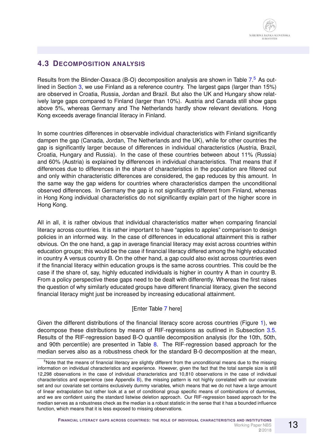## **4.3 DECOMPOSITION ANALYSIS**

Results from the Blinder-Oaxaca (B-O) decomposition analysis are shown in Table [7.](#page-27-0)<sup>[5](#page-12-0)</sup> As outlined in Section [3,](#page-7-0) we use Finland as a reference country. The largest gaps (larger than 15%) are observed in Croatia, Russia, Jordan and Brazil. But also the UK and Hungary show relatively large gaps compared to Finland (larger than 10%). Austria and Canada still show gaps above 5%, whereas Germany and The Netherlands hardly show relevant deviations. Hong Kong exceeds average financial literacy in Finland.

In some countries differences in observable individual characteristics with Finland significantly dampen the gap (Canada, Jordan, The Netherlands and the UK), while for other countries the gap is significantly larger because of differences in individual characteristics (Austria, Brazil, Croatia, Hungary and Russia). In the case of these countries between about 11% (Russia) and 60% (Austria) is explained by differences in individual characteristics. That means that if differences due to differences in the share of characteristics in the population are filtered out and only within characteristic differences are considered, the gap reduces by this amount. In the same way the gap widens for countries where characteristics dampen the unconditional observed differences. In Germany the gap is not significantly different from Finland, whereas in Hong Kong individual characteristics do not significantly explain part of the higher score in Hong Kong.

All in all, it is rather obvious that individual characteristics matter when comparing financial literacy across countries. It is rather important to have "apples to apples" comparison to design policies in an informed way. In the case of differences in educational attainment this is rather obvious. On the one hand, a gap in average financial literacy may exist across countries within education groups; this would be the case if financial literacy differed among the highly educated in country A versus country B. On the other hand, a gap could also exist across countries even if the financial literacy within education groups is the same across countries. This could be the case if the share of, say, highly educated individuals is higher in country A than in country B. From a policy perspective these gaps need to be dealt with differently. Whereas the first raises the question of why similarly educated groups have different financial literacy, given the second financial literacy might just be increased by increasing educational attainment.

### [Enter Table [7](#page-27-0) here]

Given the different distributions of the financial literacy score across countries (Figure [1\)](#page-19-0), we decompose these distributions by means of RIF-regressions as outlined in Subsection [3.5.](#page-10-1) Results of the RIF-regression based B-O quantile decomposition analysis (for the 10th, 50th, and 90th percentile) are presented in Table [8.](#page-28-0) The RIF-regression based approach for the median serves also as a robustness check for the standard B-0 decomposition at the mean,

<span id="page-12-0"></span><sup>&</sup>lt;sup>5</sup>Note that the means of financial literacy are slightly different from the unconditional means due to the missing information on individual characteristics and experience. However, given the fact that the total sample size is still 12,298 observations in the case of individual characteristics and 10,810 observations in the case of individual characteristics and experience (see Appendix [B\)](#page-31-0), the missing pattern is not highly correlated with our covariate set and our covariate set contains exclusively dummy variables, which means that we do not have a large amount of linear extrapolation but rather look at a set of conditional group specific means of combinations of dummies, and we are confident using the standard listwise deletion approach. Our RIF-regression based approach for the median serves as a robustness check as the median is a robust statistic in the sense that it has a bounded influence function, which means that it is less exposed to missing observations.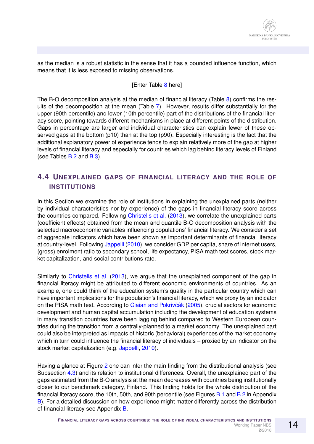as the median is a robust statistic in the sense that it has a bounded influence function, which means that it is less exposed to missing observations.

#### [Enter Table [8](#page-28-0) here]

The B-O decomposition analysis at the median of financial literacy (Table [8\)](#page-28-0) confirms the results of the decomposition at the mean (Table [7\)](#page-27-0). However, results differ substantially for the upper (90th percentile) and lower (10th percentile) part of the distributions of the financial literacy score, pointing towards different mechanisms in place at different points of the distribution. Gaps in percentage are larger and individual characteristics can explain fewer of these observed gaps at the bottom (p10) than at the top (p90). Especially interesting is the fact that the additional explanatory power of experience tends to explain relatively more of the gap at higher levels of financial literacy and especially for countries which lag behind literacy levels of Finland (see Tables [B.2](#page-34-0) and [B.3\)](#page-35-0).

## <span id="page-13-0"></span>**4.4 UNEXPLAINED GAPS OF FINANCIAL LITERACY AND THE ROLE OF INSTITUTIONS**

In this Section we examine the role of institutions in explaining the unexplained parts (neither by individual characteristics nor by experience) of the gaps in financial literacy score across the countries compared. Following [Christelis et al.](#page-17-9) [\(2013\)](#page-17-9), we correlate the unexplained parts (coefficient effects) obtained from the mean and quantile B-O decomposition analysis with the selected macroeconomic variables influencing populations' financial literacy. We consider a set of aggregate indicators which have been shown as important determinants of financial literacy at country-level. Following [Jappelli](#page-17-1) [\(2010\)](#page-17-1), we consider GDP per capita, share of internet users, (gross) enrolment ratio to secondary school, life expectancy, PISA math test scores, stock market capitalization, and social contributions rate.

Similarly to [Christelis et al.](#page-17-9) [\(2013\)](#page-17-9), we argue that the unexplained component of the gap in financial literacy might be attributed to different economic environments of countries. As an example, one could think of the education system's quality in the particular country which can have important implications for the population's financial literacy, which we proxy by an indicator on the PISA math test. According to Ciaian and Pokrivčák [\(2005\)](#page-17-16), crucial sectors for economic development and human capital accumulation including the development of education systems in many transition countries have been lagging behind compared to Western European countries during the transition from a centrally-planned to a market economy. The unexplained part could also be interpreted as impacts of historic (behavioral) experiences of the market economy which in turn could influence the financial literacy of individuals – proxied by an indicator on the stock market capitalization (e.g. [Jappelli,](#page-17-1) [2010\)](#page-17-1).

Having a glance at Figure [2](#page-20-0) one can infer the main finding from the distributional analysis (see Subsection [4.3\)](#page-11-2) and its relation to institutional differences. Overall, the unexplained part of the gaps estimated from the B-O analysis at the mean decreases with countries being institutionally closer to our benchmark category, Finland. This finding holds for the whole distribution of the financial literacy score, the 10th, 50th, and 90th percentile (see Figures [B.1](#page-37-0) and [B.2](#page-38-0) in Appendix [B\)](#page-31-0). For a detailed discussion on how experience might matter differently across the distribution of financial literacy see Appendix [B.](#page-31-0)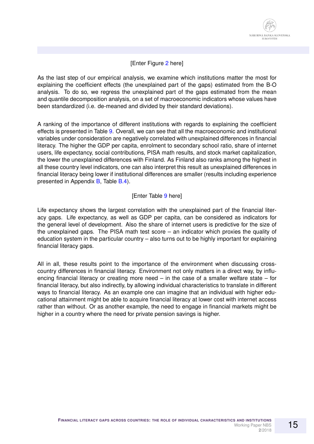#### [Enter Figure [2](#page-20-0) here]

As the last step of our empirical analysis, we examine which institutions matter the most for explaining the coefficient effects (the unexplained part of the gaps) estimated from the B-O analysis. To do so, we regress the unexplained part of the gaps estimated from the mean and quantile decomposition analysis, on a set of macroeconomic indicators whose values have been standardized (i.e. de-meaned and divided by their standard deviations).

A ranking of the importance of different institutions with regards to explaining the coefficient effects is presented in Table [9.](#page-29-0) Overall, we can see that all the macroeconomic and institutional variables under consideration are negatively correlated with unexplained differences in financial literacy. The higher the GDP per capita, enrolment to secondary school ratio, share of internet users, life expectancy, social contributions, PISA math results, and stock market capitalization, the lower the unexplained differences with Finland. As Finland also ranks among the highest in all these country level indicators, one can also interpret this result as unexplained differences in financial literacy being lower if institutional differences are smaller (results including experience presented in Appendix [B,](#page-31-0) Table [B.4\)](#page-39-0).

#### [Enter Table [9](#page-29-0) here]

Life expectancy shows the largest correlation with the unexplained part of the financial literacy gaps. Life expectancy, as well as GDP per capita, can be considered as indicators for the general level of development. Also the share of internet users is predictive for the size of the unexplained gaps. The PISA math test score – an indicator which proxies the quality of education system in the particular country – also turns out to be highly important for explaining financial literacy gaps.

All in all, these results point to the importance of the environment when discussing crosscountry differences in financial literacy. Environment not only matters in a direct way, by influencing financial literacy or creating more need – in the case of a smaller welfare state – for financial literacy, but also indirectly, by allowing individual characteristics to translate in different ways to financial literacy. As an example one can imagine that an individual with higher educational attainment might be able to acquire financial literacy at lower cost with internet access rather than without. Or as another example, the need to engage in financial markets might be higher in a country where the need for private pension savings is higher.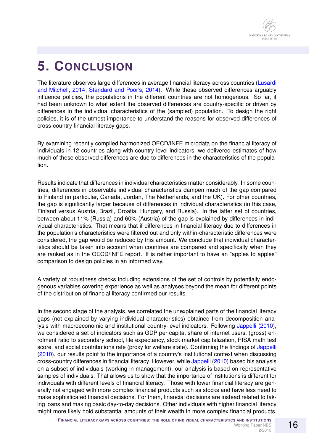# <span id="page-15-0"></span>**5. CONCLUSION**

The literature observes large differences in average financial literacy across countries [\(Lusardi](#page-17-4) [and Mitchell,](#page-17-4) [2014;](#page-17-4) [Standard and Poor's,](#page-18-1) [2014\)](#page-18-1). While these observed differences arguably influence policies, the populations in the different countries are not homogenous. So far, it had been unknown to what extent the observed differences are country-specific or driven by differences in the individual characteristics of the (sampled) population. To design the right policies, it is of the utmost importance to understand the reasons for observed differences of cross-country financial literacy gaps.

By examining recently compiled harmonized OECD/INFE microdata on the financial literacy of individuals in 12 countries along with country level indicators, we delivered estimates of how much of these observed differences are due to differences in the characteristics of the population.

Results indicate that differences in individual characteristics matter considerably. In some countries, differences in observable individual characteristics dampen much of the gap compared to Finland (in particular, Canada, Jordan, The Netherlands, and the UK). For other countries, the gap is significantly larger because of differences in individual characteristics (in this case, Finland versus Austria, Brazil, Croatia, Hungary, and Russia). In the latter set of countries, between about 11% (Russia) and 60% (Austria) of the gap is explained by differences in individual characteristics. That means that if differences in financial literacy due to differences in the population's characteristics were filtered out and only within-characteristic differences were considered, the gap would be reduced by this amount. We conclude that individual characteristics should be taken into account when countries are compared and specifically when they are ranked as in the OECD/INFE report. It is rather important to have an "apples to apples" comparison to design policies in an informed way.

A variety of robustness checks including extensions of the set of controls by potentially endogenous variables covering experience as well as analyses beyond the mean for different points of the distribution of financial literacy confirmed our results.

In the second stage of the analysis, we correlated the unexplained parts of the financial literacy gaps (not explained by varying individual characteristics) obtained from decomposition analysis with macroeconomic and institutional country-level indicators. Following [Jappelli](#page-17-1) [\(2010\)](#page-17-1), we considered a set of indicators such as GDP per capita, share of internet users, (gross) enrolment ratio to secondary school, life expectancy, stock market capitalization, PISA math test score, and social contributions rate (proxy for welfare state). Confirming the findings of [Jappelli](#page-17-1) [\(2010\)](#page-17-1), our results point to the importance of a country's institutional context when discussing cross-country differences in financial literacy. However, while [Jappelli](#page-17-1) [\(2010\)](#page-17-1) based his analysis on a subset of individuals (working in management), our analysis is based on representative samples of individuals. That allows us to show that the importance of institutions is different for individuals with different levels of financial literacy. Those with lower financial literacy are generally not engaged with more complex financial products such as stocks and have less need to make sophisticated financial decisions. For them, financial decisions are instead related to taking loans and making basic day-to-day decisions. Other individuals with higher financial literacy might more likely hold substantial amounts of their wealth in more complex financial products.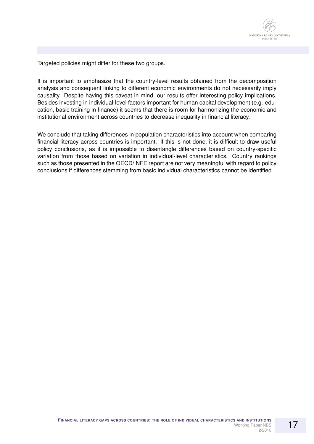

Targeted policies might differ for these two groups.

It is important to emphasize that the country-level results obtained from the decomposition analysis and consequent linking to different economic environments do not necessarily imply causality. Despite having this caveat in mind, our results offer interesting policy implications. Besides investing in individual-level factors important for human capital development (e.g. education, basic training in finance) it seems that there is room for harmonizing the economic and institutional environment across countries to decrease inequality in financial literacy.

We conclude that taking differences in population characteristics into account when comparing financial literacy across countries is important. If this is not done, it is difficult to draw useful policy conclusions, as it is impossible to disentangle differences based on country-specific variation from those based on variation in individual-level characteristics. Country rankings such as those presented in the OECD/INFE report are not very meaningful with regard to policy conclusions if differences stemming from basic individual characteristics cannot be identified.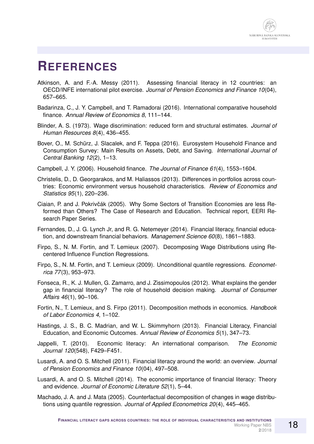## **REFERENCES**

- <span id="page-17-6"></span>Atkinson, A. and F.-A. Messy (2011). Assessing financial literacy in 12 countries: an OECD/INFE international pilot exercise. *Journal of Pension Economics and Finance 10*(04), 657–665.
- <span id="page-17-5"></span>Badarinza, C., J. Y. Campbell, and T. Ramadorai (2016). International comparative household finance. *Annual Review of Economics 8*, 111–144.
- <span id="page-17-10"></span>Blinder, A. S. (1973). Wage discrimination: reduced form and structural estimates. *Journal of Human Resources 8*(4), 436–455.
- <span id="page-17-8"></span>Bover, O., M. Schürz, J. Slacalek, and F. Teppa (2016). Eurosystem Household Finance and Consumption Survey: Main Results on Assets, Debt, and Saving. *International Journal of Central Banking 12*(2), 1–13.
- <span id="page-17-0"></span>Campbell, J. Y. (2006). Household finance. *The Journal of Finance 61*(4), 1553–1604.
- <span id="page-17-9"></span>Christelis, D., D. Georgarakos, and M. Haliassos (2013). Differences in portfolios across countries: Economic environment versus household characteristics. *Review of Economics and Statistics 95*(1), 220–236.
- <span id="page-17-16"></span>Ciaian, P. and J. Pokrivčák (2005). Why Some Sectors of Transition Economies are less Reformed than Others? The Case of Research and Education. Technical report, EERI Research Paper Series.
- <span id="page-17-3"></span>Fernandes, D., J. G. Lynch Jr, and R. G. Netemeyer (2014). Financial literacy, financial education, and downstream financial behaviors. *Management Science 60*(8), 1861–1883.
- <span id="page-17-11"></span>Firpo, S., N. M. Fortin, and T. Lemieux (2007). Decomposing Wage Distributions using Recentered Influence Function Regressions.
- <span id="page-17-12"></span>Firpo, S., N. M. Fortin, and T. Lemieux (2009). Unconditional quantile regressions. *Econometrica 77*(3), 953–973.
- <span id="page-17-13"></span>Fonseca, R., K. J. Mullen, G. Zamarro, and J. Zissimopoulos (2012). What explains the gender gap in financial literacy? The role of household decision making. *Journal of Consumer Affairs 46*(1), 90–106.
- <span id="page-17-15"></span>Fortin, N., T. Lemieux, and S. Firpo (2011). Decomposition methods in economics. *Handbook of Labor Economics 4*, 1–102.
- <span id="page-17-2"></span>Hastings, J. S., B. C. Madrian, and W. L. Skimmyhorn (2013). Financial Literacy, Financial Education, and Economic Outcomes. *Annual Review of Economics 5*(1), 347–73.
- <span id="page-17-1"></span>Jappelli, T. (2010). Economic literacy: An international comparison. *The Economic Journal 120*(548), F429–F451.
- <span id="page-17-7"></span>Lusardi, A. and O. S. Mitchell (2011). Financial literacy around the world: an overview. *Journal of Pension Economics and Finance 10*(04), 497–508.
- <span id="page-17-4"></span>Lusardi, A. and O. S. Mitchell (2014). The economic importance of financial literacy: Theory and evidence. *Journal of Economic Literature 52*(1), 5–44.
- <span id="page-17-14"></span>Machado, J. A. and J. Mata (2005). Counterfactual decomposition of changes in wage distributions using quantile regression. *Journal of Applied Econometrics 20*(4), 445–465.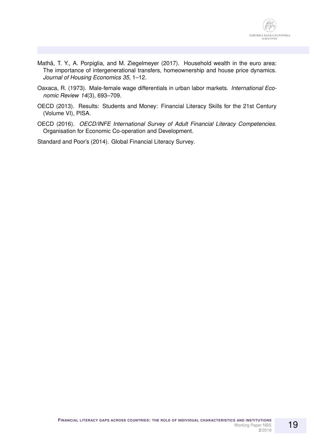- <span id="page-18-4"></span>Mathä, T. Y., A. Porpiglia, and M. Ziegelmeyer (2017). Household wealth in the euro area: The importance of intergenerational transfers, homeownership and house price dynamics. *Journal of Housing Economics 35*, 1–12.
- <span id="page-18-3"></span>Oaxaca, R. (1973). Male-female wage differentials in urban labor markets. *International Economic Review 14*(3), 693–709.
- <span id="page-18-2"></span>OECD (2013). Results: Students and Money: Financial Literacy Skills for the 21st Century (Volume VI), PISA.
- <span id="page-18-0"></span>OECD (2016). *OECD/INFE International Survey of Adult Financial Literacy Competencies*. Organisation for Economic Co-operation and Development.

<span id="page-18-1"></span>Standard and Poor's (2014). Global Financial Literacy Survey.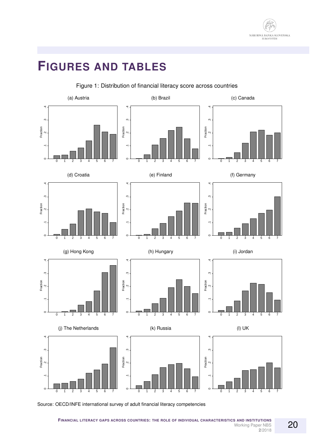

# **FIGURES AND TABLES**

<span id="page-19-0"></span>

#### Figure 1: Distribution of financial literacy score across countries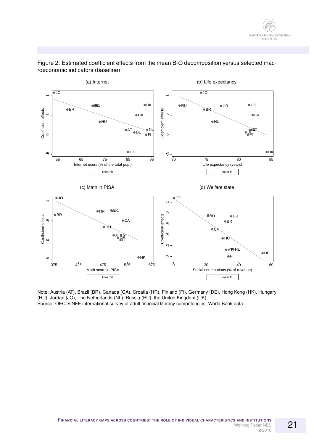

#### <span id="page-20-0"></span>Figure 2: Estimated coefficient effects from the mean B-O decomposition versus selected macroeconomic indicators (baseline)

Note: Austria (AT), Brazil (BR), Canada (CA), Croatia (HR), Finland (FI), Germany (DE), Hong Kong (HK), Hungary (HU), Jordan (JO), The Netherlands (NL), Russia (RU), the United Kingdom (UK). Source: OECD/INFE international survey of adult financial literacy competencies, World Bank data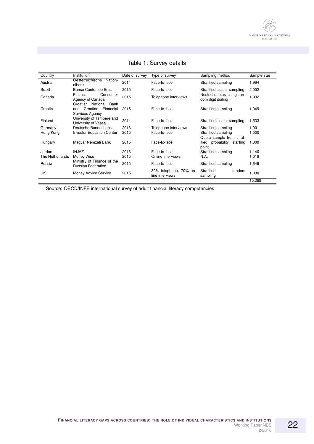<span id="page-21-0"></span>

| Country         | Institution                                                            | Date of survey | Type of survey                            | Sampling method                                 | Sample size |
|-----------------|------------------------------------------------------------------------|----------------|-------------------------------------------|-------------------------------------------------|-------------|
| Austria         | Oesterreichische<br>Nation-<br>albank                                  | 2014           | Face-to-face                              | Stratified sampling                             | 1,994       |
| Brazil          | Banco Central do Brasil                                                | 2015           | Face-to-face                              | Stratified cluster sampling                     | 2,002       |
| Canada          | Consumer<br>Financial<br>Agency of Canada<br>Croatian National<br>Bank | 2015           | Telephone interviews                      | Nested quotas using ran-<br>dom digit dialing   | 1,002       |
| Croatia         | Financial<br>Croatian<br>and<br>Services Agency                        | 2015           | Face-to-face                              | Stratified sampling                             | 1,049       |
| Finland         | University of Tampere and<br>University of Vaasa                       | 2014           | Face-to-face                              | Stratified cluster sampling                     | 1,533       |
| Germany         | Deutsche Bundesbank                                                    | 2016           | Telephone interviews                      | Stratified sampling                             | 1,001       |
| Hong Kong       | <b>Investor Education Center</b>                                       | 2015           | Face-to-face                              | Stratified sampling<br>Quota sample from strat- | 1,000       |
| Hungary         | Magyar Nemzeti Bank                                                    | 2015           | Face-to-face                              | probability starting<br>ified<br>point          | 1,000       |
| Jordan          | <b>INJAZ</b>                                                           | 2016           | Face-to-face                              | Stratified sampling                             | 1,140       |
| The Netherlands | Money Wise                                                             | 2015           | Online interviews                         | N.A.                                            | 1,018       |
| Russia          | Ministry of Finance of the<br><b>Russian Federation</b>                | 2015           | Face-to-face                              | Stratified sampling                             | 1,649       |
| UK              | Money Advice Service                                                   | 2015           | 30% telephone, 70% on-<br>line interviews | Stratified<br>random<br>sampling                | 1,000       |
|                 |                                                                        |                |                                           |                                                 | 15,388      |

## Table 1: Survey details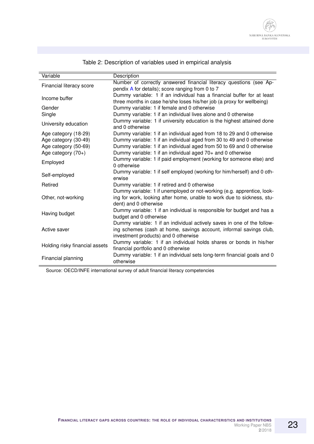<span id="page-22-0"></span>

| Variable                       | Description                                                                                                                                                                           |
|--------------------------------|---------------------------------------------------------------------------------------------------------------------------------------------------------------------------------------|
| Financial literacy score       | Number of correctly answered financial literacy questions (see Ap-<br>pendix A for details); score ranging from 0 to 7                                                                |
| Income buffer                  | Dummy variable: 1 if an individual has a financial buffer for at least<br>three months in case he/she loses his/her job (a proxy for wellbeing)                                       |
| Gender                         | Dummy variable: 1 if female and 0 otherwise                                                                                                                                           |
| Single                         | Dummy variable: 1 if an individual lives alone and 0 otherwise                                                                                                                        |
| University education           | Dummy variable: 1 if university education is the highest attained done<br>and 0 otherwise                                                                                             |
| Age category (18-29)           | Dummy variable: 1 if an individual aged from 18 to 29 and 0 otherwise                                                                                                                 |
| Age category (30-49)           | Dummy variable: 1 if an individual aged from 30 to 49 and 0 otherwise                                                                                                                 |
| Age category (50-69)           | Dummy variable: 1 if an individual aged from 50 to 69 and 0 otherwise                                                                                                                 |
| Age category $(70+)$           | Dummy variable: 1 if an individual aged 70+ and 0 otherwise                                                                                                                           |
| Employed                       | Dummy variable: 1 if paid employment (working for someone else) and<br>0 otherwise                                                                                                    |
| Self-employed                  | Dummy variable: 1 if self employed (working for him/herself) and 0 oth-<br>erwise                                                                                                     |
| Retired                        | Dummy variable: 1 if retired and 0 otherwise                                                                                                                                          |
| Other, not-working             | Dummy variable: 1 if unemployed or not-working (e.g. apprentice, look-<br>ing for work, looking after home, unable to work due to sickness, stu-<br>dent) and 0 otherwise             |
| Having budget                  | Dummy variable: 1 if an individual is responsible for budget and has a<br>budget and 0 otherwise                                                                                      |
| Active saver                   | Dummy variable: 1 if an individual actively saves in one of the follow-<br>ing schemes (cash at home, savings account, informal savings club,<br>investment products) and 0 otherwise |
| Holding risky financial assets | Dummy variable: 1 if an individual holds shares or bonds in his/her<br>financial portfolio and 0 otherwise                                                                            |
| Financial planning             | Dummy variable: 1 if an individual sets long-term financial goals and 0<br>otherwise                                                                                                  |

## Table 2: Description of variables used in empirical analysis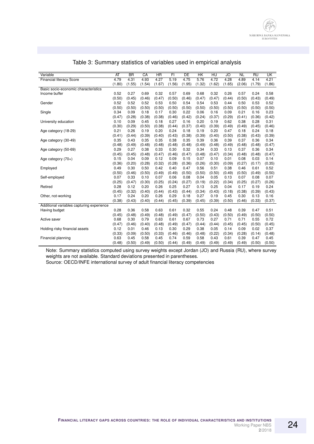<span id="page-23-0"></span>

| Variable                                  | AT     | <b>BR</b> | $\overline{CA}$ | $\overline{\text{HR}}$ | FI     | DE     | HK     | HU     | JO     | <b>NL</b> | RU     | UK     |
|-------------------------------------------|--------|-----------|-----------------|------------------------|--------|--------|--------|--------|--------|-----------|--------|--------|
| <b>Financial literacy Score</b>           | 4.79   | 4.31      | 4.93            | 4.27                   | 5.19   | 4.75   | 5.76   | 4.72   | 4.28   | 4.89      | 4.14   | 4.21   |
|                                           | (1.80) | (1.55)    | (1.54)          | (1.67)                 | (1.56) | (1.95) | (1.32) | (1.62) | (1.65) | (2.06)    | (1.79) | (1.86) |
| Basic socio-economic characteristics      |        |           |                 |                        |        |        |        |        |        |           |        |        |
| Income buffer                             | 0.52   | 0.27      | 0.69            | 0.32                   | 0.57   | 0.69   | 0.68   | 0.32   | 0.26   | 0.57      | 0.24   | 0.58   |
|                                           | (0.50) | (0.45)    | (0.46)          | (0.47)                 | (0.50) | (0.46) | (0.47) | (0.47) | (0.44) | (0.50)    | (0.43) | (0.49) |
| Gender                                    | 0.52   | 0.52      | 0.52            | 0.53                   | 0.50   | 0.54   | 0.54   | 0.53   | 0.44   | 0.50      | 0.53   | 0.52   |
|                                           | (0.50) | (0.50)    | (0.50)          | (0.50)                 | (0.50) | (0.50) | (0.50) | (0.50) | (0.50) | (0.50)    | (0.50) | (0.50) |
| Single                                    | 0.34   | 0.09      | 0.18            | 0.17                   | 0.30   | 0.22   | 0.06   | 0.16   | 0.09   | 0.21      | 0.16   | 0.23   |
|                                           | (0.47) | (0.28)    | (0.38)          | (0.38)                 | (0.46) | (0.42) | (0.24) | (0.37) | (0.29) | (0.41)    | (0.36) | (0.42) |
| University education                      | 0.10   | 0.09      | 0.45            | 0.18                   | 0.27   | 0.16   | 0.20   | 0.19   | 0.62   | 0.38      | 0.28   | 0.31   |
|                                           | (0.30) | (0.29)    | (0.50)          | (0.38)                 | (0.44) | (0.37) | (0.40) | (0.39) | (0.49) | (0.49)    | (0.45) | (0.46) |
| Age category (18-29)                      | 0.21   | 0.26      | 0.19            | 0.20                   | 0.24   | 0.18   | 0.19   | 0.20   | 0.47   | 0.18      | 0.24   | 0.18   |
|                                           | (0.41) | (0.44)    | (0.39)          | (0.40)                 | (0.43) | (0.38) | (0.39) | (0.40) | (0.50) | (0.38)    | (0.43) | (0.39) |
| Age category (30-49)                      | 0.35   | 0.43      | 0.35            | 0.35                   | 0.38   | 0.35   | 0.39   | 0.36   | 0.39   | 0.37      | 0.36   | 0.34   |
|                                           | (0.48) | (0.49)    | (0.48)          | (0.48)                 | (0.48) | (0.48) | (0.49) | (0.48) | (0.49) | (0.48)    | (0.48) | (0.47) |
| Age category (50-69)                      | 0.29   | 0.27      | 0.38            | 0.33                   | 0.30   | 0.32   | 0.34   | 0.33   | 0.13   | 0.37      | 0.36   | 0.34   |
|                                           | (0.45) | (0.45)    | (0.48)          | (0.47)                 | (0.46) | (0.47) | (0.48) | (0.47) | (0.34) | (0.48)    | (0.48) | (0.47) |
| Age category $(70+)$                      | 0.15   | 0.04      | 0.09            | 0.12                   | 0.09   | 0.15   | 0.07   | 0.10   | 0.01   | 0.08      | 0.03   | 0.14   |
|                                           | (0.36) | (0.20)    | (0.28)          | (0.32)                 | (0.28) | (0.36) | (0.26) | (0.30) | (0.09) | (0.27)    | (0.17) | (0.35) |
| Employed                                  | 0.49   | 0.30      | 0.50            | 0.42                   | 0.40   | 0.47   | 0.56   | 0.51   | 0.38   | 0.46      | 0.61   | 0.52   |
|                                           | (0.50) | (0.46)    | (0.50)          | (0.49)                 | (0.49) | (0.50) | (0.50) | (0.50) | (0.49) | (0.50)    | (0.49) | (0.50) |
| Self-employed                             | 0.07   | 0.33      | 0.10            | 0.07                   | 0.06   | 0.08   | 0.04   | 0.05   | 0.13   | 0.07      | 0.08   | 0.07   |
|                                           | (0.25) | (0.47)    | (0.30)          | (0.25)                 | (0.24) | (0.27) | (0.19) | (0.22) | (0.34) | (0.25)    | (0.27) | (0.26) |
| Retired                                   | 0.28   | 0.12      | 0.20            | 0.26                   | 0.25   | 0.27   | 0.13   | 0.25   | 0.04   | 0.17      | 0.19   | 0.24   |
|                                           | (0.45) | (0.32)    | (0.40)          | (0.44)                 | (0.43) | (0.44) | (0.34) | (0.43) | (0.18) | (0.38)    | (0.39) | (0.43) |
| Other, not-working                        | 0.17   | 0.24      | 0.20            | 0.26                   | 0.29   | 0.18   | 0.27   | 0.19   | 0.45   | 0.30      | 0.13   | 0.16   |
|                                           | (0.38) | (0.43)    | (0.40)          | (0.44)                 | (0.45) | (0.39) | (0.45) | (0.39) | (0.50) | (0.46)    | (0.33) | (0.37) |
| Additional variables capturing experience |        |           |                 |                        |        |        |        |        |        |           |        |        |
| Having budget                             | 0.28   | 0.36      | 0.58            | 0.63                   | 0.61   | 0.32   | 0.55   | 0.24   | 0.48   | 0.39      | 0.47   | 0.51   |
|                                           | (0.45) | (0.48)    | (0.49)          | (0.48)                 | (0.49) | (0.47) | (0.50) | (0.43) | (0.50) | (0.49)    | (0.50) | (0.50) |
| Active saver                              | 0.68   | 0.30      | 0.79            | 0.63                   | 0.61   | 0.67   | 0.73   | 0.27   | 0.71   | 0.71      | 0.55   | 0.72   |
|                                           | (0.47) | (0.46)    | (0.40)          | (0.48)                 | (0.49) | (0.47) | (0.44) | (0.44) | (0.45) | (0.45)    | (0.50) | (0.45) |
| Holding risky financial assets            | 0.12   | 0.01      | 0.46            | 0.13                   | 0.30   | 0.29   | 0.38   | 0.05   | 0.14   | 0.09      | 0.02   | 0.37   |
|                                           | (0.33) | (0.09)    | (0.50)          | (0.33)                 | (0.46) | (0.46) | (0.48) | (0.22) | (0.34) | (0.28)    | (0.14) | (0.48) |
| Financial planning                        | 0.63   | 0.45      | 0.58            | 0.45                   | 0.74   | 0.59   | 0.58   | 0.43   | 0.61   | 0.39      | 0.47   | 0.45   |
|                                           | (0.48) | (0.50)    | (0.49)          | (0.50)                 | (0.44) | (0.49) | (0.49) | (0.49) | (0.49) | (0.49)    | (0.50) | (0.50) |

#### Table 3: Summary statistics of variables used in empirical analysis

Note: Summary statistics computed using survey weights except Jordan (JO) and Russia (RU), where survey weights are not available. Standard deviations presented in parentheses.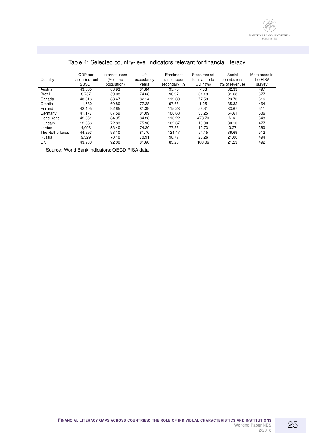<span id="page-24-0"></span>

|                 | GDP per         | Internet users | Life       | Enrolment     | Stock market   | Social         | Math score in |
|-----------------|-----------------|----------------|------------|---------------|----------------|----------------|---------------|
| Country         | capita (current | (% of the      | expectancy | ratio, upper  | total value to | contributions  | the PISA      |
|                 | \$USD)          | population)    | (vears)    | secondary (%) | GDP (%)        | (% of revenue) | survey        |
| Austria         | 43,665          | 83.93          | 81.84      | 95.75         | 7.33           | 32.33          | 497           |
| Brazil          | 8.757           | 59.08          | 74.68      | 90.97         | 31.19          | 31.68          | 377           |
| Canada          | 43.316          | 88.47          | 82.14      | 119.30        | 77.59          | 23.70          | 516           |
| Croatia         | 11,580          | 69.80          | 77.28      | 97.66         | 1.25           | 35.32          | 464           |
| Finland         | 42.405          | 92.65          | 81.39      | 115.23        | 56.61          | 33.67          | 511           |
| Germany         | 41.177          | 87.59          | 81.09      | 106.68        | 38.25          | 54.61          | 506           |
| Hong Kong       | 42.351          | 84.95          | 84.28      | 113.22        | 478.70         | N.A.           | 548           |
| Hungary         | 12.366          | 72.83          | 75.96      | 102.67        | 10.00          | 30.10          | 477           |
| Jordan          | 4,096           | 53.40          | 74.20      | 77.88         | 10.73          | 0.27           | 380           |
| The Netherlands | 44.293          | 93.10          | 81.70      | 124.47        | 54.45          | 36.69          | 512           |
| Russia          | 9.329           | 70.10          | 70.91      | 98.77         | 20.26          | 21.00          | 494           |
| UK              | 43,930          | 92.00          | 81.60      | 83.20         | 103.06         | 21.23          | 492           |

## Table 4: Selected country-level indicators relevant for financial literacy

Source: World Bank indicators; OECD PISA data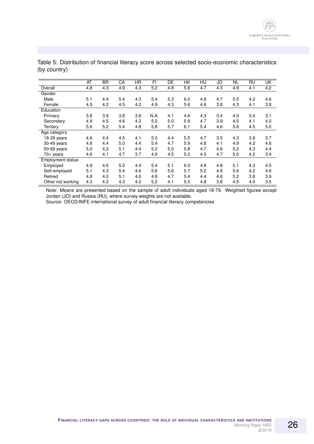|                          | AT  | BR  | СA  | HR  | FI   | DE  | НK  | HU  | <b>JO</b> | NL  | <b>RU</b> | UK  |
|--------------------------|-----|-----|-----|-----|------|-----|-----|-----|-----------|-----|-----------|-----|
| Overall                  | 4.8 | 4.3 | 4.9 | 4.3 | 5.2  | 4.8 | 5.8 | 4.7 | 4.3       | 4.9 | 4.1       | 4.2 |
| Gender                   |     |     |     |     |      |     |     |     |           |     |           |     |
| Male                     | 5.1 | 4.4 | 5.4 | 4.3 | 5.4  | 5.3 | 6.0 | 4.8 | 4.7       | 5.5 | 4.2       | 4.6 |
| Female                   | 4.5 | 4.2 | 4.5 | 4.2 | 4.9  | 4.3 | 5.6 | 4.6 | 3.8       | 4.3 | 4.1       | 3.8 |
| Education                |     |     |     |     |      |     |     |     |           |     |           |     |
| Primary                  | 3.8 | 3.9 | 3.8 | 3.9 | N.A. | 4.1 | 4.6 | 4.3 | 3.4       | 4.0 | 3.4       | 3.1 |
| Secondary                | 4.9 | 4.5 | 4.6 | 4.3 | 5.0  | 5.0 | 5.9 | 4.7 | 3.9       | 4.5 | 4.1       | 4.0 |
| Tertiary                 | 5.6 | 5.2 | 5.4 | 4.8 | 5.8  | 5.7 | 6.1 | 5.4 | 4.6       | 5.6 | 4.5       | 5.0 |
| Age category             |     |     |     |     |      |     |     |     |           |     |           |     |
| 18-29 years              | 4.6 | 4.4 | 4.5 | 4.1 | 5.0  | 4.4 | 5.5 | 4.7 | 3.5       | 4.3 | 3.8       | 3.7 |
| 30-49 years              | 4.8 | 4.4 | 5.0 | 4.4 | 5.4  | 4.7 | 5.9 | 4.8 | 4.1       | 4.9 | 4.2       | 4.6 |
| 50-69 years              | 5.0 | 4.2 | 5.1 | 4.4 | 5.2  | 5.0 | 5.8 | 4.7 | 4.6       | 5.2 | 4.3       | 4.4 |
| 70+ years                | 4.6 | 4.1 | 4.7 | 3.7 | 4.9  | 4.5 | 5.2 | 4.5 | 4.7       | 5.0 | 4.2       | 3.4 |
| <b>Employment status</b> |     |     |     |     |      |     |     |     |           |     |           |     |
| Employed                 | 4.9 | 4.6 | 5.0 | 4.4 | 5.4  | 5.1 | 6.0 | 4.8 | 4.8       | 5.1 | 4.3       | 4.5 |
| Self-employed            | 5.1 | 4.3 | 5.4 | 4.6 | 5.6  | 5.6 | 5.7 | 5.2 | 4.8       | 5.6 | 4.2       | 4.6 |
| Retired                  | 4.8 | 4.0 | 5.1 | 4.0 | 4.9  | 4.7 | 5.4 | 4.4 | 4.6       | 5.2 | 3.8       | 3.9 |
| Other not working        | 4.3 | 4.2 | 4.3 | 4.2 | 5.2  | 4.1 | 5.5 | 4.8 | 3.8       | 4.5 | 4.0       | 3.5 |

<span id="page-25-0"></span>Table 5: Distribution of financial literacy score across selected socio-economic characteristics (by country)

Note: Means are presented based on the sample of adult individuals aged 18-79. Weighted figures except Jordan (JO) and Russia (RU), where survey weights are not available.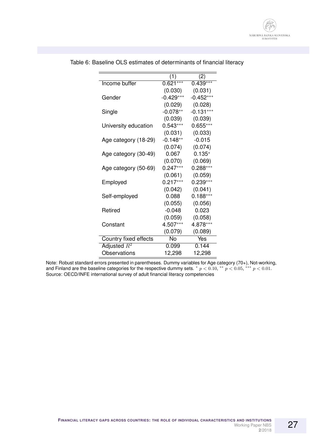|                       | (1)         | (2)         |
|-----------------------|-------------|-------------|
| Income buffer         | $0.621***$  | $0.439***$  |
|                       | (0.030)     | (0.031)     |
| Gender                | $-0.429***$ | $-0.452***$ |
|                       | (0.029)     | (0.028)     |
| Single                | $-0.078**$  | $-0.131***$ |
|                       | (0.039)     | (0.039)     |
| University education  | $0.543***$  | $0.655***$  |
|                       | (0.031)     | (0.033)     |
| Age category (18-29)  | $-0.148**$  | $-0.015$    |
|                       | (0.074)     | (0.074)     |
| Age category (30-49)  | 0.067       | $0.135*$    |
|                       | (0.070)     | (0.069)     |
| Age category (50-69)  | $0.247***$  | $0.288***$  |
|                       | (0.061)     | (0.059)     |
| Employed              | $0.217***$  | $0.239***$  |
|                       | (0.042)     | (0.041)     |
| Self-employed         | 0.088       | $0.188***$  |
|                       | (0.055)     | (0.056)     |
| Retired               | $-0.048$    | 0.023       |
|                       | (0.059)     | (0.058)     |
| Constant              | 4.507***    | 4.878***    |
|                       | (0.079)     | (0.089)     |
| Country fixed effects | No          | Yes         |
| Adjusted $R^2$        | 0.099       | 0.144       |
| Observations          | 12,298      | 12,298      |

<span id="page-26-0"></span>Table 6: Baseline OLS estimates of determinants of financial literacy

Note: Robust standard errors presented in parentheses. Dummy variables for Age category (70+), Not-working, and Finland are the baseline categories for the respective dummy sets.  $* p < 0.10, ** p < 0.05, ** p < 0.01$ . Source: OECD/INFE international survey of adult financial literacy competencies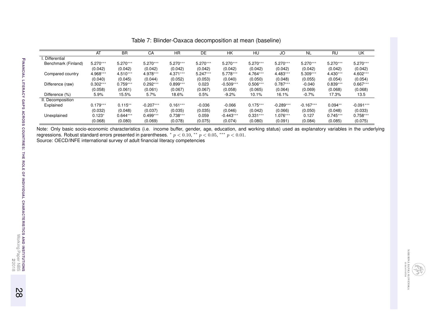|                     | AT         | <b>BR</b>  | СA          | <b>HR</b>  | DE         | НK          | HU         | JO          | <b>NL</b>   | RU         | UK          |
|---------------------|------------|------------|-------------|------------|------------|-------------|------------|-------------|-------------|------------|-------------|
| Differential        |            |            |             |            |            |             |            |             |             |            |             |
| Benchmark (Finland) | $5.270***$ | $5.270***$ | $5.270***$  | $5.270***$ | $5.270***$ | $5.270***$  | $5.270***$ | $5.270***$  | $5.270***$  | $5.270***$ | $5.270***$  |
|                     | (0.042)    | (0.042)    | (0.042)     | (0.042)    | (0.042)    | (0.042)     | (0.042)    | (0.042)     | (0.042)     | (0.042)    | (0.042)     |
| Compared country    | 4.968***   | $4.510***$ | 4.978***    | 4.371***   | $5.247***$ | $5.778***$  | 4.764***   | 4.483***    | $5.309***$  | $4.430***$ | 4.602***    |
|                     | (0.040)    | (0.045)    | (0.044)     | (0.052)    | (0.053)    | (0.040)     | (0.050)    | (0.048)     | (0.055)     | (0.054)    | (0.054)     |
| Difference (raw)    | $0.302***$ | $0.759***$ | $0.292***$  | $0.899***$ | 0.023      | $-0.509***$ | $0.506***$ | $0.787***$  | $-0.040$    | $0.839***$ | $0.667***$  |
|                     | (0.058)    | (0.061)    | (0.061)     | (0.067)    | (0.067)    | (0.058)     | (0.065)    | (0.064)     | (0.069)     | (0.068)    | (0.068)     |
| Difference (%)      | 5.9%       | 15.5%      | 5.7%        | 18.6%      | $0.5\%$    | $-9.2%$     | 10.1%      | 16.1%       | $-0.7%$     | 17.3%      | 13.5        |
| II. Decomposition   |            |            |             |            |            |             |            |             |             |            |             |
| Explained           | $0.179***$ | $0.115***$ | $-0.207***$ | $0.161***$ | $-0.036$   | $-0.066$    | $0.175***$ | $-0.289***$ | $-0.167***$ | $0.094**$  | $-0.091***$ |
|                     | (0.032)    | (0.048)    | (0.037)     | (0.035)    | (0.035)    | (0.046)     | (0.042)    | (0.066)     | (0.050)     | (0.048)    | (0.033)     |
| Unexplained         | $0.123*$   | $0.644***$ | $0.499***$  | $0.738***$ | 0.059      | $-0.443***$ | $0.331***$ | 1.076***    | 0.127       | $0.745***$ | $0.758***$  |
|                     | (0.068)    | (0.080)    | (0.069)     | (0.078)    | (0.075)    | (0.074)     | (0.080)    | (0.091)     | (0.084)     | (0.085)    | (0.075)     |

<span id="page-27-0"></span>Table 7: Blinder-Oaxaca decomposition at mean (baseline)

Note: Only basic socio-economic characteristics (i.e. income buffer, gender, age, education, and working status) used as explanatory variables in the underlying<br>regressions. Robust standard errors presented in parentheses.

**F**

28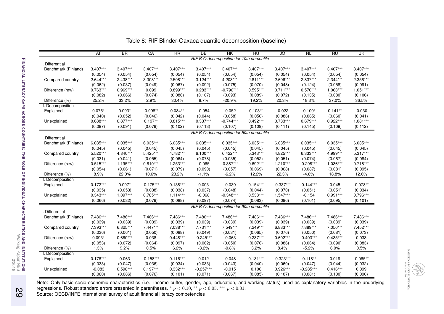|                     | AT         | <b>BR</b>  | CA          | HR         | <b>DE</b>   | HK          | HU                                        | JO          | <b>NL</b>   | RU         | UK         |
|---------------------|------------|------------|-------------|------------|-------------|-------------|-------------------------------------------|-------------|-------------|------------|------------|
|                     |            |            |             |            |             |             | RIF B-O decomposition for 10th percentile |             |             |            |            |
| I. Differential     |            |            |             |            |             |             |                                           |             |             |            |            |
| Benchmark (Finland) | $3.407***$ | $3.407***$ | $3.407***$  | $3.407***$ | $3.407***$  | $3.407***$  | $3.407***$                                | $3.407***$  | $3.407***$  | $3.407***$ | $3.407***$ |
|                     | (0.054)    | (0.054)    | (0.054)     | (0.054)    | (0.054)     | (0.054)     | (0.054)                                   | (0.054)     | (0.054)     | (0.054)    | (0.054)    |
| Compared country    | $2.644***$ | $2.438***$ | $3.308***$  | $2.508***$ | $3.124***$  | 4.203***    | $2.811***$                                | 2.696***    | $2.837***$  | $2.344***$ | $2.356***$ |
|                     | (0.062)    | (0.037)    | (0.049)     | (0.067)    | (0.092)     | (0.075)     | (0.070)                                   | (0.048)     | (0.124)     | (0.058)    | (0.091)    |
| Difference (raw)    | $0.763***$ | $0.969***$ | 0.099       | $0.899***$ | $0.283***$  | $-0.796***$ | $0.595***$                                | $0.711***$  | $0.570***$  | $1.063***$ | $1.051***$ |
|                     | (0.082)    | (0.066)    | (0.074)     | (0.086)    | (0.107)     | (0.093)     | (0.089)                                   | (0.072)     | (0.135)     | (0.080)    | (0.106)    |
| Difference (%)      | 25.2%      | 33.2%      | 2.9%        | 30.4%      | 8.7%        | $-20.9%$    | 19.2%                                     | 20.3%       | 18.3%       | 37.0%      | 36.5%      |
| II. Decomposition   |            |            |             |            |             |             |                                           |             |             |            |            |
| Explained           | $0.075*$   | $0.093*$   | $-0.098**$  | $0.084**$  | $-0.054$    | $-0.052$    | $0.103**$                                 | $-0.022$    | $-0.109*$   | $0.141**$  | $-0.030$   |
|                     | (0.040)    | (0.052)    | (0.046)     | (0.042)    | (0.044)     | (0.058)     | (0.050)                                   | (0.086)     | (0.065)     | (0.060)    | (0.041)    |
| Unexplained         | $0.688***$ | $0.877***$ | $0.197**$   | $0.815***$ | $0.337***$  | $-0.744***$ | $0.492***$                                | $0.733***$  | $0.679***$  | $0.922***$ | $1.081***$ |
|                     | (0.097)    | (0.091)    | (0.079)     | (0.102)    | (0.113)     | (0.107)     | (0.109)                                   | (0.111)     | (0.145)     | (0.109)    | (0.112)    |
|                     |            |            |             |            |             |             | RIF B-O decomposition for 50th percentile |             |             |            |            |
| I. Differential     |            |            |             |            |             |             |                                           |             |             |            |            |
| Benchmark (Finland) | $6.035***$ | $6.035***$ | $6.035***$  | $6.035***$ | $6.035***$  | $6.035***$  | $6.035***$                                | $6.035***$  | $6.035***$  | $6.035***$ | $6.035***$ |
|                     | (0.045)    | (0.045)    | (0.045)     | (0.045)    | (0.045)     | (0.045)     | (0.045)                                   | (0.045)     | (0.045)     | (0.045)    | (0.045)    |
| Compared country    | $5.520***$ | 4.840***   | $5.425***$  | 4.782***   | $6.100***$  | $6.422***$  | $5.343***$                                | 4.825***    | $6.333***$  | 4.999 ***  | $5.317***$ |
|                     | (0.031)    | (0.041)    | (0.055)     | (0.064)    | (0.078)     | (0.035)     | (0.052)                                   | (0.051)     | (0.074)     | (0.067)    | (0.084)    |
| Difference (raw)    | $0.515***$ | $1.195***$ | $0.610***$  | $1.253***$ | $-0.065$    | $-0.387***$ | $0.692***$                                | $1.210***$  | $-0.298***$ | $1.036***$ | $0.718***$ |
|                     | (0.054)    | (0.061)    | (0.071)     | (0.079)    | (0.090)     | (0.057)     | (0.069)                                   | (0.068)     | (0.087)     | (0.081)    | (0.095)    |
| Difference (%)      | 8.9%       | 22.0%      | 10.6%       | 23.2%      | $-1.1%$     | $-6.2%$     | 12.2%                                     | 22.3%       | $-4.8%$     | 18.8%      | 12.6%      |
| II. Decomposition   |            |            |             |            |             |             |                                           |             |             |            |            |
| Explained           | $0.172***$ | $0.097*$   | $-0.175***$ | $0.138***$ | 0.003       | $-0.039$    | $0.154***$                                | $-0.337***$ | $-0.144***$ | 0.045      | $-0.078**$ |
|                     | (0.035)    | (0.053)    | (0.038)     | (0.038)    | (0.037)     | (0.048)     | (0.044)                                   | (0.070)     | (0.051)     | (0.051)    | (0.034)    |
| Unexplained         | $0.343***$ | $1.097***$ | $0.785***$  | $1.114***$ | $-0.068$    | $-0.348***$ | $0.538***$                                | $1.547***$  | $-0.154$    | $0.991***$ | $0.796***$ |
|                     | (0.066)    | (0.082)    | (0.079)     | (0.088)    | (0.097)     | (0.074)     | (0.083)                                   | (0.096)     | (0.101)     | (0.095)    | (0.101)    |
|                     |            |            |             |            |             |             | RIF B-O decomposition for 90th percentile |             |             |            |            |
| I. Differential     |            |            |             |            |             |             |                                           |             |             |            |            |
| Benchmark (Finland) | 7.486***   | 7.486***   | 7.486***    | 7.486***   | 7.486***    | 7.486***    | 7.486***                                  | 7.486***    | 7.486***    | 7.486***   | 7.486***   |
|                     | (0.039)    | (0.039)    | (0.039)     | (0.039)    | (0.039)     | (0.039)     | (0.039)                                   | (0.039)     | (0.039)     | (0.039)    | (0.039)    |
| Compared country    | 7.393***   | $6.825***$ | $7.447***$  | 7.038***   | $7.731***$  | 7.549***    | 7.249***                                  | $6.883***$  | 7.889***    | $7.050***$ | $7.452***$ |
|                     | (0.036)    | (0.061)    | (0.050)     | (0.088)    | (0.049)     | (0.031)     | (0.065)                                   | (0.076)     | (0.050)     | (0.081)    | (0.073)    |
| Difference (raw)    | $0.093*$   | $0.660***$ | 0.038       | $0.448***$ | $-0.245***$ | $-0.063$    | $0.237***$                                | $0.602***$  | $-0.403***$ | $0.435***$ | 0.033      |
|                     | (0.053)    | (0.072)    | (0.064)     | (0.097)    | (0.062)     | (0.050)     | (0.076)                                   | (0.086)     | (0.064)     | (0.090)    | (0.083)    |
| Difference (%)      | 1.3%       | 9.2%       | 0.5%        | 6.2%       | $-3.2%$     | $-0.8%$     | 3.2%                                      | 8.4%        | $-5.2%$     | 6.0%       | 0.5%       |
| II. Decomposition   |            |            |             |            |             |             |                                           |             |             |            |            |
| Explained           | $0.176***$ | 0.063      | $-0.158***$ | $0.116***$ | 0.012       | $-0.048$    | $0.131***$                                | $-0.323***$ | $-0.118**$  | 0.019      | $-0.065**$ |
|                     | (0.033)    | (0.047)    | (0.036)     | (0.034)    | (0.033)     | (0.043)     | (0.040)                                   | (0.060)     | (0.047)     | (0.044)    | (0.032)    |
| Unexplained         | $-0.083$   | $0.598***$ | $0.197***$  | $0.332***$ | $-0.257***$ | $-0.015$    | 0.106                                     | $0.926***$  | $-0.285***$ | $0.416***$ | 0.099      |
|                     | (0.060)    | (0.086)    | (0.076)     | (0.101)    | (0.071)     | (0.067)     | (0.085)                                   | (0.107)     | (0.081)     | (0.100)    | (0.090)    |
|                     |            |            |             |            |             |             |                                           |             |             |            |            |

#### Table 8: RIF Blinder-Oaxaca quantile decomposition (baseline)

Note: Only basic socio-economic characteristics (i.e. income buffer, gender, age, education, and working status) used as explanatory variables in the underlying<br>regressions. Robust standard errors presented in parentheses

NÁRODNÁ BANKA SLOVENSKA<br>EUROSYSTÉM

<span id="page-28-0"></span>

**F**

29

**2**/2018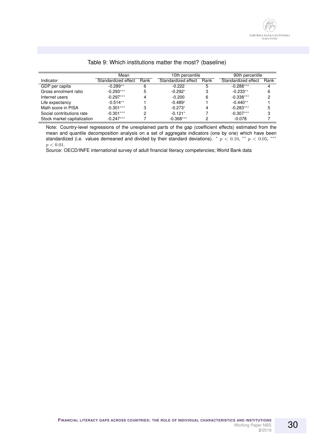<span id="page-29-0"></span>

|                             | Mean                |      | 10th percentile     |      | 90th percentile     |      |  |
|-----------------------------|---------------------|------|---------------------|------|---------------------|------|--|
| Indicator                   | Standardized effect | Rank | Standardized effect | Rank | Standardized effect | Rank |  |
| GDP per capita              | $-0.289**$          | 6    | $-0.222$            | 5    | $-0.288***$         |      |  |
| Gross enrolment ratio       | $-0.293***$         |      | $-0.292*$           |      | $-0.233**$          | 6    |  |
| Internet users              | $-0.297***$         |      | $-0.200$            | 6    | $-0.338***$         |      |  |
| Life expectancy             | $-0.514**$          |      | $-0.489*$           |      | $-0.440**$          |      |  |
| Math score in PISA          | $-0.301***$         |      | $-0.273*$           | Δ    | $-0.283***$         |      |  |
| Social contributions rate   | $-0.301***$         |      | $-0.121*$           |      | $-0.307***$         | 3    |  |
| Stock market capitalization | $-0.247***$         |      | $-0.368***$         |      | $-0.078$            |      |  |

#### Table 9: Which institutions matter the most? (baseline)

Note: Country-level regressions of the unexplained parts of the gap (coefficient effects) estimated from the mean and quantile decomposition analysis on a set of aggregate indicators (one by one) which have been standardized (i.e. values demeaned and divided by their standard deviations).  $*$   $p$  < 0.10,  $**$   $p$  < 0.05,  $***$  $p < 0.01$ .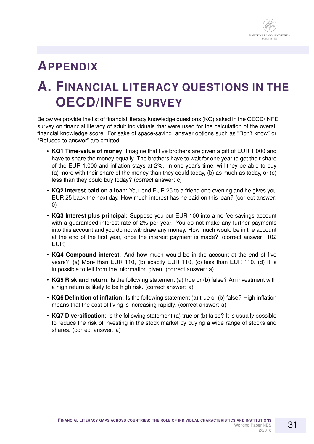

## **APPENDIX**

# <span id="page-30-0"></span>**A. FINANCIAL LITERACY QUESTIONS IN THE OECD/INFE SURVEY**

Below we provide the list of financial literacy knowledge questions (KQ) asked in the OECD/INFE survey on financial literacy of adult individuals that were used for the calculation of the overall financial knowledge score. For sake of space-saving, answer options such as "Don't know" or "Refused to answer" are omitted.

- **KQ1 Time-value of money**: Imagine that five brothers are given a gift of EUR 1,000 and have to share the money equally. The brothers have to wait for one year to get their share of the EUR 1,000 and inflation stays at 2%. In one year's time, will they be able to buy (a) more with their share of the money than they could today, (b) as much as today, or (c) less than they could buy today? (correct answer: c)
- **KQ2 Interest paid on a loan**: You lend EUR 25 to a friend one evening and he gives you EUR 25 back the next day. How much interest has he paid on this loan? (correct answer: 0)
- **KQ3 Interest plus principal**: Suppose you put EUR 100 into a no-fee savings account with a guaranteed interest rate of 2% per year. You do not make any further payments into this account and you do not withdraw any money. How much would be in the account at the end of the first year, once the interest payment is made? (correct answer: 102 EUR)
- **KQ4 Compound interest**: And how much would be in the account at the end of five years? (a) More than EUR 110, (b) exactly EUR 110, (c) less than EUR 110, (d) It is impossible to tell from the information given. (correct answer: a)
- **KQ5 Risk and return**: Is the following statement (a) true or (b) false? An investment with a high return is likely to be high risk. (correct answer: a)
- **KQ6 Definition of inflation**: Is the following statement (a) true or (b) false? High inflation means that the cost of living is increasing rapidly. (correct answer: a)
- **KQ7 Diversification**: Is the following statement (a) true or (b) false? It is usually possible to reduce the risk of investing in the stock market by buying a wide range of stocks and shares. (correct answer: a)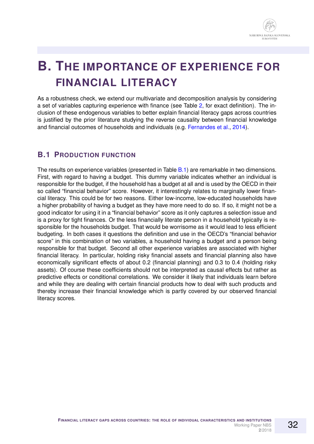

# <span id="page-31-0"></span>**B. THE IMPORTANCE OF EXPERIENCE FOR FINANCIAL LITERACY**

As a robustness check, we extend our multivariate and decomposition analysis by considering a set of variables capturing experience with finance (see Table [2,](#page-22-0) for exact definition). The inclusion of these endogenous variables to better explain financial literacy gaps across countries is justified by the prior literature studying the reverse causality between financial knowledge and financial outcomes of households and individuals (e.g. [Fernandes et al.,](#page-17-3) [2014\)](#page-17-3).

## **B.1 PRODUCTION FUNCTION**

The results on experience variables (presented in Table [B.1\)](#page-32-0) are remarkable in two dimensions. First, with regard to having a budget. This dummy variable indicates whether an individual is responsible for the budget, if the household has a budget at all and is used by the OECD in their so called "financial behavior" score. However, it interestingly relates to marginally lower financial literacy. This could be for two reasons. Either low-income, low-educated households have a higher probability of having a budget as they have more need to do so. If so, it might not be a good indicator for using it in a "financial behavior" score as it only captures a selection issue and is a proxy for tight finances. Or the less financially literate person in a household typically is responsible for the households budget. That would be worrisome as it would lead to less efficient budgeting. In both cases it questions the definition and use in the OECD's "financial behavior score" in this combination of two variables, a household having a budget and a person being responsible for that budget. Second all other experience variables are associated with higher financial literacy. In particular, holding risky financial assets and financial planning also have economically significant effects of about 0.2 (financial planning) and 0.3 to 0.4 (holding risky assets). Of course these coefficients should not be interpreted as causal effects but rather as predictive effects or conditional correlations. We consider it likely that individuals learn before and while they are dealing with certain financial products how to deal with such products and thereby increase their financial knowledge which is partly covered by our observed financial literacy scores.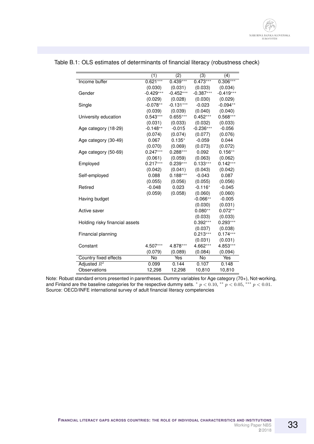|                                | (1)         | $\overline{(2)}$ | (3)         | (4)         |
|--------------------------------|-------------|------------------|-------------|-------------|
| Income buffer                  | $0.621***$  | $0.439***$       | $0.473***$  | $0.306***$  |
|                                | (0.030)     | (0.031)          | (0.033)     | (0.034)     |
| Gender                         | $-0.429***$ | $-0.452***$      | $-0.387***$ | $-0.419***$ |
|                                | (0.029)     | (0.028)          | (0.030)     | (0.029)     |
| Single                         | $-0.078**$  | $-0.131***$      | $-0.023$    | $-0.094**$  |
|                                | (0.039)     | (0.039)          | (0.040)     | (0.040)     |
| University education           | $0.543***$  | $0.655***$       | $0.452***$  | $0.568***$  |
|                                | (0.031)     | (0.033)          | (0.032)     | (0.033)     |
| Age category (18-29)           | $-0.148**$  | $-0.015$         | $-0.236***$ | $-0.056$    |
|                                | (0.074)     | (0.074)          | (0.077)     | (0.076)     |
| Age category (30-49)           | 0.067       | $0.135*$         | $-0.059$    | 0.044       |
|                                | (0.070)     | (0.069)          | (0.073)     | (0.072)     |
| Age category (50-69)           | $0.247***$  | $0.288***$       | 0.092       | $0.156**$   |
|                                | (0.061)     | (0.059)          | (0.063)     | (0.062)     |
| Employed                       | $0.217***$  | $0.239***$       | $0.133***$  | $0.142***$  |
|                                | (0.042)     | (0.041)          | (0.043)     | (0.042)     |
| Self-employed                  | 0.088       | $0.188***$       | $-0.043$    | 0.087       |
|                                | (0.055)     | (0.056)          | (0.055)     | (0.056)     |
| Retired                        | $-0.048$    | 0.023            | $-0.116*$   | $-0.045$    |
|                                | (0.059)     | (0.058)          | (0.060)     | (0.060)     |
| Having budget                  |             |                  | $-0.066**$  | $-0.005$    |
|                                |             |                  | (0.030)     | (0.031)     |
| Active saver                   |             |                  | $0.080**$   | $0.072**$   |
|                                |             |                  | (0.033)     | (0.033)     |
| Holding risky financial assets |             |                  | $0.392***$  | $0.293***$  |
|                                |             |                  | (0.037)     | (0.038)     |
| Financial planning             |             |                  | $0.213***$  | $0.174***$  |
|                                |             |                  | (0.031)     | (0.031)     |
| Constant                       | 4.507***    | 4.878***         | 4.662***    | 4.853***    |
|                                | (0.079)     | (0.089)          | (0.084)     | (0.094)     |
| Country fixed effects          | No          | Yes              | No          | Yes         |
| Adjusted $R^2$                 | 0.099       | 0.144            | 0.107       | 0.148       |
| Observations                   | 12,298      | 12,298           | 10,810      | 10,810      |
|                                |             |                  |             |             |

## <span id="page-32-0"></span>Table B.1: OLS estimates of determinants of financial literacy (robustness check)

Note: Robust standard errors presented in parentheses. Dummy variables for Age category (70+), Not-working, and Finland are the baseline categories for the respective dummy sets.  $* p < 0.10, ** p < 0.05, ** p < 0.01$ . Source: OECD/INFE international survey of adult financial literacy competencies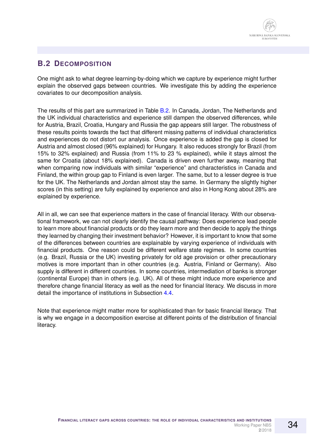## **B.2 DECOMPOSITION**

One might ask to what degree learning-by-doing which we capture by experience might further explain the observed gaps between countries. We investigate this by adding the experience covariates to our decomposition analysis.

The results of this part are summarized in Table [B.2.](#page-34-0) In Canada, Jordan, The Netherlands and the UK individual characteristics and experience still dampen the observed differences, while for Austria, Brazil, Croatia, Hungary and Russia the gap appears still larger. The robustness of these results points towards the fact that different missing patterns of individual characteristics and experiences do not distort our analysis. Once experience is added the gap is closed for Austria and almost closed (96% explained) for Hungary. It also reduces strongly for Brazil (from 15% to 32% explained) and Russia (from 11% to 23 % explained), while it stays almost the same for Croatia (about 18% explained). Canada is driven even further away, meaning that when comparing now individuals with similar "experience" and characteristics in Canada and Finland, the within group gap to Finland is even larger. The same, but to a lesser degree is true for the UK. The Netherlands and Jordan almost stay the same. In Germany the slightly higher scores (in this setting) are fully explained by experience and also in Hong Kong about 28% are explained by experience.

All in all, we can see that experience matters in the case of financial literacy. With our observational framework, we can not clearly identify the causal pathway: Does experience lead people to learn more about financial products or do they learn more and then decide to apply the things they learned by changing their investment behavior? However, it is important to know that some of the differences between countries are explainable by varying experience of individuals with financial products. One reason could be different welfare state regimes. In some countries (e.g. Brazil, Russia or the UK) investing privately for old age provision or other precautionary motives is more important than in other countries (e.g. Austria, Finland or Germany). Also supply is different in different countries. In some countries, intermediation of banks is stronger (continental Europe) than in others (e.g. UK). All of these might induce more experience and therefore change financial literacy as well as the need for financial literacy. We discuss in more detail the importance of institutions in Subsection [4.4.](#page-13-0)

Note that experience might matter more for sophisticated than for basic financial literacy. That is why we engage in a decomposition exercise at different points of the distribution of financial literacy.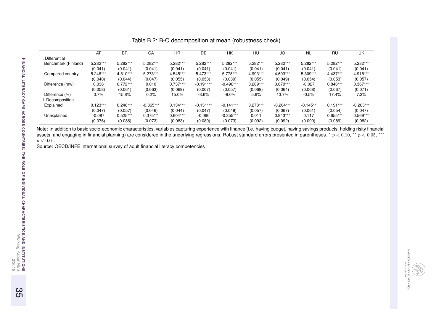|                     | AT         | <b>BR</b>  | CA          | <b>HR</b>  | DE          | <b>HK</b>   | HU         | JO          | <b>NL</b>  | <b>RU</b>  | UK          |
|---------------------|------------|------------|-------------|------------|-------------|-------------|------------|-------------|------------|------------|-------------|
| Differential        |            |            |             |            |             |             |            |             |            |            |             |
| Benchmark (Finland) | $5.282***$ | 5.282***   | $5.282***$  | $5.282***$ | 5.282***    | $5.282***$  | $5.282***$ | $5.282***$  | $5.282***$ | $5.282***$ | $5.282***$  |
|                     | (0.041)    | (0.041)    | (0.041)     | (0.041)    | (0.041)     | (0.041)     | (0.041)    | (0.041)     | (0.041)    | (0.041)    | (0.041)     |
| Compared country    | $5.246***$ | $4.510***$ | $5.273***$  | 4.545***   | $5.473***$  | $5.778***$  | 4.993***   | $4.603***$  | $5.309***$ | $4.437***$ | $4.915***$  |
|                     | (0.040)    | (0.044)    | (0.047)     | (0.055)    | (0.053)     | (0.039)     | (0.055)    | (0.049)     | (0.054)    | (0.053)    | (0.057)     |
| Difference (raw)    | 0.036      | $0.772***$ | 0.010       | $0.737***$ | $-0.191***$ | $-0.496***$ | $0.289***$ | $0.679***$  | $-0.027$   | $0.846***$ | $0.367***$  |
|                     | (0.058)    | (0.061)    | (0.063)     | (0.069)    | (0.067)     | (0.057)     | (0.069)    | (0.064)     | (0.068)    | (0.067)    | (0.071)     |
| Difference (%)      | 0.7%       | 15.8%      | $0.2\%$     | 15.0%      | $-3.6%$     | $-9.0\%$    | 5.6%       | 13.7%       | $-0.5%$    | 17.4%      | 7.2%        |
| II. Decomposition   |            |            |             |            |             |             |            |             |            |            |             |
| Explained           | $0.123***$ | $0.246***$ | $-0.365***$ | $0.134***$ | $-0.131***$ | $-0.141***$ | $0.278***$ | $-0.264***$ | $-0.145**$ | $0.191***$ | $-0.203***$ |
|                     | (0.047)    | (0.057)    | (0.046)     | (0.044)    | (0.047)     | (0.049)     | (0.057)    | (0.067)     | (0.061)    | (0.054)    | (0.047)     |
| Unexplained         | $-0.087$   | $0.525***$ | $0.375***$  | $0.604***$ | $-0.060$    | $-0.355***$ | 0.011      | $0.943***$  | 0.117      | $0.655***$ | $0.569***$  |
|                     | (0.076)    | (0.086)    | (0.073)     | (0.083)    | (0.080)     | (0.073)     | (0.092)    | (0.092)     | (0.090)    | (0.089)    | (0.082)     |

Table B.2: B-O decomposition at mean (robustness check)

Note: In addition to basic socio-economic characteristics, variables capturing experience with finance (i.e. having budget, having savings products, holding risky financial<br>assets, and engaging in financial planning) are  $p < 0.01$ .

Source: OECD/INFE international survey of adult financial literacy competencies

<span id="page-34-0"></span>35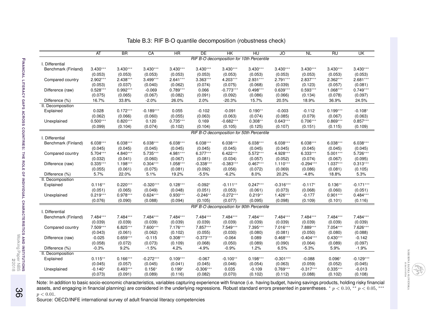|                     | AT         | <b>BR</b>  | CA          | HR         | <b>DE</b>   | HK          | HU                                        | JO          | $\overline{NL}$ | <b>RU</b>  | <b>UK</b>   |
|---------------------|------------|------------|-------------|------------|-------------|-------------|-------------------------------------------|-------------|-----------------|------------|-------------|
|                     |            |            |             |            |             |             | RIF B-O decomposition for 10th Percentile |             |                 |            |             |
| I. Differential     |            |            |             |            |             |             |                                           |             |                 |            |             |
| Benchmark (Finland) | $3.430***$ | $3.430***$ | $3.430***$  | $3.430***$ | $3.430***$  | $3.430***$  | $3.430***$                                | $3.430***$  | $3.430***$      | $3.430***$ | $3.430***$  |
|                     | (0.053)    | (0.053)    | (0.053)     | (0.053)    | (0.053)     | (0.053)     | (0.053)                                   | (0.053)     | (0.053)         | (0.053)    | (0.053)     |
| Compared country    | 2.902***   | $2.438***$ | $3.499***$  | $2.641***$ | $3.363***$  | 4.203***    | $2.931***$                                | $2.791***$  | $2.837***$      | $2.362***$ | $2.681***$  |
|                     | (0.053)    | (0.037)    | (0.040)     | (0.062)    | (0.074)     | (0.075)     | (0.068)                                   | (0.039)     | (0.123)         | (0.057)    | (0.081)     |
| Difference (raw)    | $0.528***$ | $0.992***$ | $-0.069$    | $0.789***$ | 0.066       | $-0.773***$ | $0.498***$                                | $0.639***$  | $0.593***$      | $1.068***$ | $0.749***$  |
|                     | (0.075)    | (0.065)    | (0.067)     | (0.082)    | (0.091)     | (0.092)     | (0.086)                                   | (0.066)     | (0.134)         | (0.078)    | (0.097)     |
| Difference (%)      | 16.7%      | 33.8%      | $-2.0%$     | 26.0%      | 2.0%        | $-20.3%$    | 15.7%                                     | 20.5%       | 18.9%           | 36.9%      | 24.5%       |
| II. Decomposition   |            |            |             |            |             |             |                                           |             |                 |            |             |
| Explained           | 0.028      | $0.172***$ | $-0.189***$ | 0.055      | $-0.102$    | $-0.091$    | $0.190**$                                 | $-0.003$    | $-0.112$        | $0.199***$ | $-0.108*$   |
|                     | (0.062)    | (0.066)    | (0.060)     | (0.055)    | (0.063)     | (0.063)     | (0.074)                                   | (0.085)     | (0.079)         | (0.067)    | (0.063)     |
| Unexplained         | $0.500***$ | $0.820***$ | 0.120       | $0.735***$ | 0.169       | $-0.682***$ | $0.308**$                                 | $0.643***$  | $0.706***$      | $0.869***$ | $0.857***$  |
|                     | (0.099)    | (0.104)    | (0.074)     | (0.102)    | (0.104)     | (0.105)     | (0.125)                                   | (0.107)     | (0.151)         | (0.115)    | (0.109)     |
|                     |            |            |             |            |             |             | RIF B-O decomposition for 50th Percentile |             |                 |            |             |
| I. Differential     |            |            |             |            |             |             |                                           |             |                 |            |             |
| Benchmark (Finland) | $6.038***$ | $6.038***$ | $6.038***$  | $6.038***$ | $6.038***$  | $6.038***$  | $6.038***$                                | $6.038***$  | $6.038***$      | $6.038***$ | $6.038***$  |
|                     | (0.045)    | (0.045)    | (0.045)     | (0.045)    | (0.045)     | (0.045)     | (0.045)                                   | (0.045)     | (0.045)         | (0.045)    | (0.045)     |
| Compared country    | 5.704***   | 4.840***   | 5.735***    | 4.981***   | $6.377***$  | $6.422***$  | 5.572***                                  | 4.928***    | $6.333***$      | $5.001***$ | $5.726***$  |
|                     | (0.032)    | (0.041)    | (0.060)     | (0.067)    | (0.081)     | (0.034)     | (0.057)                                   | (0.052)     | (0.074)         | (0.067)    | (0.095)     |
| Difference (raw)    | $0.335***$ | $1.198***$ | $0.304***$  | $1.058***$ | $-0.338***$ | $-0.383***$ | $0.467***$                                | $1.110***$  | $-0.294***$     | $1.037***$ | $0.313***$  |
|                     | (0.055)    | (0.061)    | (0.075)     | (0.081)    | (0.092)     | (0.056)     | (0.072)                                   | (0.069)     | (0.086)         | (0.081)    | (0.105)     |
| Difference (%)      | 5.7%       | 22.0%      | 5.1%        | 19.2%      | $-5.5%$     | $-6.2%$     | 8.0%                                      | 20.2%       | $-4.8%$         | 18.8%      | 5.3%        |
| II. Decomposition   |            |            |             |            |             |             |                                           |             |                 |            |             |
| Explained           | $0.116**$  | $0.220***$ | $-0.320***$ | $0.128***$ | $-0.092*$   | $-0.111**$  | $0.247***$                                | $-0.316***$ | $-0.117*$       | $0.136**$  | $-0.171***$ |
|                     | (0.051)    | (0.065)    | (0.049)     | (0.048)    | (0.051)     | (0.053)     | (0.061)                                   | (0.073)     | (0.068)         | (0.060)    | (0.051)     |
| Unexplained         | $0.219***$ | $0.978***$ | $0.624***$  | $0.930***$ | $-0.246**$  | $-0.272***$ | $0.219**$                                 | $1.426***$  | $-0.177$        | $0.901***$ | $0.484***$  |
|                     | (0.076)    | (0.090)    | (0.088)     | (0.094)    | (0.105)     | (0.077)     | (0.095)                                   | (0.098)     | (0.109)         | (0.101)    | (0.116)     |
|                     |            |            |             |            |             |             |                                           |             |                 |            |             |
| I. Differential     |            |            |             |            |             |             | RIF B-O decomposition for 90th Percentile |             |                 |            |             |
| Benchmark (Finland) | 7.484***   | 7.484***   | 7.484***    | 7.484***   | 7.484***    | 7.484***    | 7.484***                                  | 7.484***    | 7.484***        | 7.484***   | 7.484***    |
|                     | (0.039)    | (0.039)    | (0.039)     | (0.039)    | (0.039)     | (0.039)     | (0.039)                                   | (0.039)     | (0.039)         | (0.039)    | (0.039)     |
| Compared country    | 7.509***   | $6.825***$ | 7.600***    | 7.176***   | 7.857***    | 7.549***    | 7.395***                                  | $7.016***$  | 7.889***        | 7.054***   | 7.626***    |
|                     | (0.043)    | (0.061)    | (0.062)     | (0.102)    | (0.055)     | (0.030)     | (0.080)                                   | (0.081)     | (0.050)         | (0.080)    | (0.088)     |
| Difference (raw)    | $-0.025$   | $0.659***$ | $-0.115$    | $0.308***$ | $-0.373***$ | $-0.064$    | 0.089                                     | $0.468***$  | $-0.404***$     | $0.430***$ | $-0.142$    |
|                     | (0.058)    | (0.072)    | (0.073)     | (0.109)    | (0.068)     | (0.050)     | (0.089)                                   | (0.090)     | (0.064)         | (0.089)    | (0.097)     |
| Difference (%)      | $-0.3%$    | 9.2%       | $-1.5%$     | 4.2%       | $-4.9%$     | $-0.9%$     | 1.2%                                      | 6.5%        | $-5.3%$         | 5.9%       | $-1.9%$     |
| II. Decomposition   |            |            |             |            |             |             |                                           |             |                 |            |             |
| Explained           | $0.115**$  | $0.166***$ | $-0.272***$ | $0.109***$ | $-0.067$    | $-0.100**$  | $0.198***$                                | $-0.301***$ | $-0.088$        | $0.096*$   | $-0.129***$ |
|                     | (0.045)    | (0.057)    | (0.045)     | (0.041)    | (0.045)     | (0.046)     | (0.054)                                   | (0.063)     | (0.059)         | (0.052)    | (0.045)     |
| Unexplained         | $-0.140*$  | $0.493***$ | $0.156*$    | $0.199*$   | $-0.306***$ | 0.035       | $-0.109$                                  | $0.769***$  | $-0.317***$     | $0.335***$ | $-0.013$    |
|                     | (0.073)    | (0.091)    | (0.089)     | (0.116)    | (0.082)     | (0.070)     | (0.102)                                   | (0.112)     | (0.088)         | (0.102)    | (0.108)     |
|                     |            |            |             |            |             |             |                                           |             |                 |            |             |

Table B.3: RIF B-O quantile decomposition (robustness check)

Note: In addition to basic socio-economic characteristics, variables capturing experience with finance (i.e. having budget, having savings products, holding risky financial<br>assets, and engaging in financial planning) are  $p < 0.01$ .

<span id="page-35-0"></span>36

**2**/2018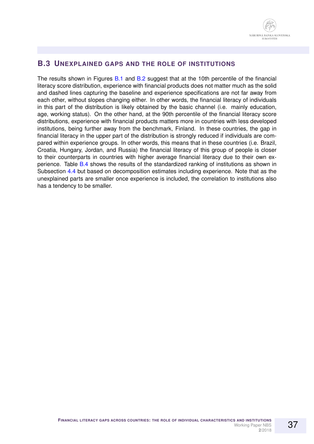

#### **B.3 UNEXPLAINED GAPS AND THE ROLE OF INSTITUTIONS**

The results shown in Figures [B.1](#page-37-0) and [B.2](#page-38-0) suggest that at the 10th percentile of the financial literacy score distribution, experience with financial products does not matter much as the solid and dashed lines capturing the baseline and experience specifications are not far away from each other, without slopes changing either. In other words, the financial literacy of individuals in this part of the distribution is likely obtained by the basic channel (i.e. mainly education, age, working status). On the other hand, at the 90th percentile of the financial literacy score distributions, experience with financial products matters more in countries with less developed institutions, being further away from the benchmark, Finland. In these countries, the gap in financial literacy in the upper part of the distribution is strongly reduced if individuals are compared within experience groups. In other words, this means that in these countries (i.e. Brazil, Croatia, Hungary, Jordan, and Russia) the financial literacy of this group of people is closer to their counterparts in countries with higher average financial literacy due to their own experience. Table [B.4](#page-39-0) shows the results of the standardized ranking of institutions as shown in Subsection [4.4](#page-13-0) but based on decomposition estimates including experience. Note that as the unexplained parts are smaller once experience is included, the correlation to institutions also has a tendency to be smaller.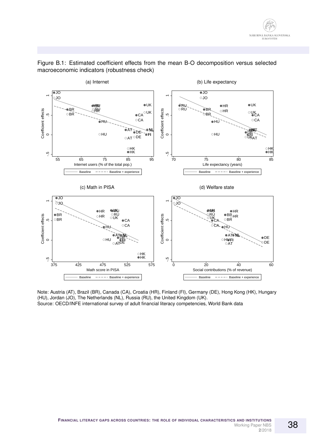

#### <span id="page-37-0"></span>Figure B.1: Estimated coefficient effects from the mean B-O decomposition versus selected macroeconomic indicators (robustness check)

Note: Austria (AT), Brazil (BR), Canada (CA), Croatia (HR), Finland (FI), Germany (DE), Hong Kong (HK), Hungary (HU), Jordan (JO), The Netherlands (NL), Russia (RU), the United Kingdom (UK). Source: OECD/INFE international survey of adult financial literacy competencies, World Bank data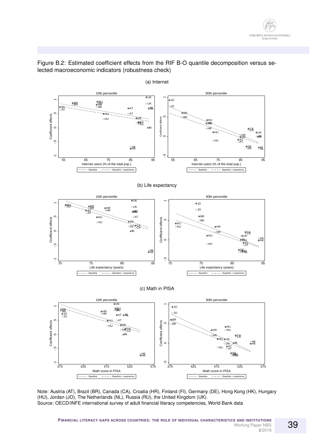

<span id="page-38-0"></span>Figure B.2: Estimated coefficient effects from the RIF B-O quantile decomposition versus selected macroeconomic indicators (robustness check)

Note: Austria (AT), Brazil (BR), Canada (CA), Croatia (HR), Finland (FI), Germany (DE), Hong Kong (HK), Hungary (HU), Jordan (JO), The Netherlands (NL), Russia (RU), the United Kingdom (UK). Source: OECD/INFE international survey of adult financial literacy competencies, World Bank data